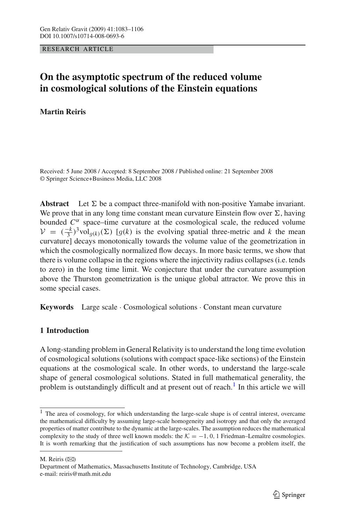RESEARCH ARTICLE

# **On the asymptotic spectrum of the reduced volume in cosmological solutions of the Einstein equations**

**Martin Reiris**

Received: 5 June 2008 / Accepted: 8 September 2008 / Published online: 21 September 2008 © Springer Science+Business Media, LLC 2008

**Abstract** Let  $\Sigma$  be a compact three-manifold with non-positive Yamabe invariant. We prove that in any long time constant mean curvature Einstein flow over  $\Sigma$ , having bounded  $C^{\alpha}$  space–time curvature at the cosmological scale, the reduced volume  $V = (\frac{-k}{3})^3$ vol<sub>g</sub><sub>(*k*)</sub>( $\Sigma$ ) [*g*(*k*) is the evolving spatial three-metric and *k* the mean<br>curvaturel decays monotonically towards the volume value of the geometrization in curvature] decays monotonically towards the volume value of the geometrization in which the cosmologically normalized flow decays. In more basic terms, we show that there is volume collapse in the regions where the injectivity radius collapses (i.e. tends to zero) in the long time limit. We conjecture that under the curvature assumption above the Thurston geometrization is the unique global attractor. We prove this in some special cases.

**Keywords** Large scale · Cosmological solutions · Constant mean curvature

## **1 Introduction**

A long-standing problem in General Relativity is to understand the long time evolution of cosmological solutions (solutions with compact space-like sections) of the Einstein equations at the cosmological scale. In other words, to understand the large-scale shape of general cosmological solutions. Stated in full mathematical generality, the problem is outstandingly difficult and at present out of reach.<sup>1</sup> In this article we will

 $<sup>1</sup>$  The area of cosmology, for which understanding the large-scale shape is of central interest, overcame</sup> the mathematical difficulty by assuming large-scale homogeneity and isotropy and that only the averaged properties of matter contribute to the dynamic at the large-scales. The assumption reduces the mathematical complexity to the study of three well known models: the  $K = -1, 0, 1$  Friedman–Lemaître cosmologies. It is worth remarking that the justification of such assumptions has now become a problem itself, the

M. Reiris  $(\boxtimes)$ 

Department of Mathematics, Massachusetts Institute of Technology, Cambridge, USA e-mail: reiris@math.mit.edu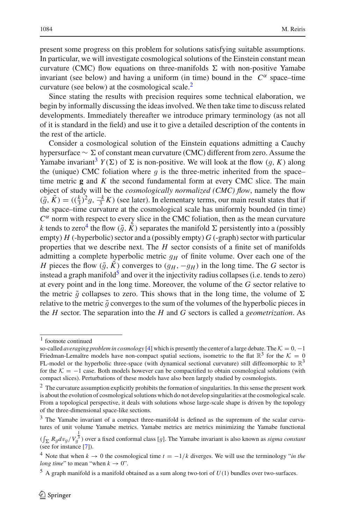present some progress on this problem for solutions satisfying suitable assumptions. In particular, we will investigate cosmological solutions of the Einstein constant mean curvature (CMC) flow equations on three-manifolds  $\Sigma$  with non-positive Yamabe invariant (see below) and having a uniform (in time) bound in the  $C^{\alpha}$  space–time curvature (see below) at the cosmological scale.<sup>[2](#page-1-0)</sup>

Since stating the results with precision requires some technical elaboration, we begin by informally discussing the ideas involved. We then take time to discuss related developments. Immediately thereafter we introduce primary terminology (as not all of it is standard in the field) and use it to give a detailed description of the contents in the rest of the article.

Consider a cosmological solution of the Einstein equations admitting a Cauchy hypersurface  $\sim \Sigma$  of constant mean curvature (CMC) different from zero. Assume the Yamabe invariant<sup>[3](#page-1-1)</sup>  $Y(\Sigma)$  of  $\Sigma$  is non-positive. We will look at the flow  $(g, K)$  along the (unique) CMC foliation where  $q$  is the three-metric inherited from the space– time metric **g** and *K* the second fundamental form at every CMC slice. The main object of study will be the *cosmologically normalized (CMC) flow*, namely the flow  $(\tilde{g}, \tilde{K}) = ((\frac{k}{3})^2 g, \frac{-k}{3} K)$  (see later). In elementary terms, our main result states that if the space–time curvature at the cosmological scale has uniformly bounded (in time)  $C^{\alpha}$  norm with respect to every slice in the CMC foliation, then as the mean curvature *k* tends to zero<sup>4</sup> the flow  $(\tilde{g}, \tilde{K})$  separates the manifold  $\Sigma$  persistently into a (possibly empty)  $H$  (-hyperbolic) sector and a (possibly empty)  $G$  (-graph) sector with particular properties that we describe next. The *H* sector consists of a finite set of manifolds admitting a complete hyperbolic metric  $q<sub>H</sub>$  of finite volume. Over each one of the *H* pieces the flow  $(\tilde{q}, \tilde{K})$  converges to  $(q_H, -q_H)$  in the long time. The *G* sector is instead a graph manifold<sup>5</sup> and over it the injectivity radius collapses (i.e. tends to zero) at every point and in the long time. Moreover, the volume of the *G* sector relative to the metric  $\tilde{g}$  collapses to zero. This shows that in the long time, the volume of  $\Sigma$ relative to the metric  $\tilde{q}$  converges to the sum of the volumes of the hyperbolic pieces in the *H* sector. The separation into the *H* and *G* sectors is called a *geometrization*. As

<sup>1</sup> footnote continued

so-called *averaging problem in cosmology* [\[4](#page-23-0)] which is presently the center of a large debate. The  $K = 0, -1$ Friedman-Lemaître models have non-compact spatial sections, isometric to the flat  $\mathbb{R}^3$  for the  $\mathcal{K} = 0$ FL-model or the hyperbolic three-space (with dynamical sectional curvature) still diffeomorphic to  $\mathbb{R}^3$ for the  $K = -1$  case. Both models however can be compactified to obtain cosmological solutions (with compact slices). Perturbations of these models have also been largely studied by cosmologists.

<span id="page-1-0"></span><sup>&</sup>lt;sup>2</sup> The curvature assumption explicitly prohibits the formation of singularities. In this sense the present work is about the evolution of cosmological solutions which do not develop singularities at the cosmological scale. From a topological perspective, it deals with solutions whose large-scale shape is driven by the topology of the three-dimensional space-like sections.

<span id="page-1-1"></span><sup>&</sup>lt;sup>3</sup> The Yamabe invariant of a compact three-manifold is defined as the supremum of the scalar curvatures of unit volume Yamabe metrics. Yamabe metrics are metrics minimizing the Yamabe functional

 $(\int_{\Sigma} R_{g}dv_{g}/V_{g}^{\frac{1}{3}})$  over a fixed conformal class [*g*]. The Yamabe invariant is also known as *sigma constant*<br>(see for instance [7]) (see for instance [\[7\]](#page-23-1)).

<span id="page-1-2"></span><sup>&</sup>lt;sup>4</sup> Note that when  $k \to 0$  the cosmological time  $t = -1/k$  diverges. We will use the terminology "*in the long time*" to mean "when  $k \to 0$ ".

<span id="page-1-3"></span> $5$  A graph manifold is a manifold obtained as a sum along two-tori of  $U(1)$  bundles over two-surfaces.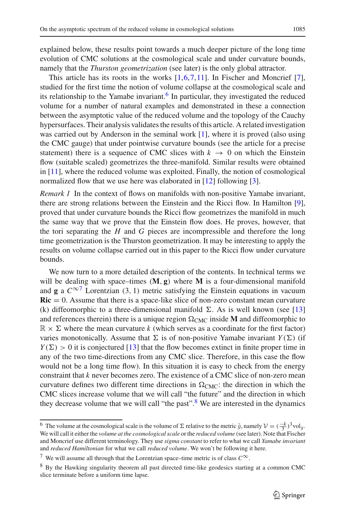explained below, these results point towards a much deeper picture of the long time evolution of CMC solutions at the cosmological scale and under curvature bounds, namely that the *Thurston geometrization* (see later) is the only global attractor.

This article has its roots in the works  $[1,6,7,11]$  $[1,6,7,11]$  $[1,6,7,11]$  $[1,6,7,11]$  $[1,6,7,11]$ . In Fischer and Moncrief [\[7](#page-23-1)], studied for the first time the notion of volume collapse at the cosmological scale and its relationship to the Yamabe invariant.<sup>[6](#page-2-0)</sup> In particular, they investigated the reduced volume for a number of natural examples and demonstrated in these a connection between the asymptotic value of the reduced volume and the topology of the Cauchy hypersurfaces. Their analysis validates the results of this article. A related investigation was carried out by Anderson in the seminal work [\[1](#page-23-2)], where it is proved (also using the CMC gauge) that under pointwise curvature bounds (see the article for a precise statement) there is a sequence of CMC slices with  $k \rightarrow 0$  on which the Einstein flow (suitable scaled) geometrizes the three-manifold. Similar results were obtained in [\[11](#page-23-4)], where the reduced volume was exploited. Finally, the notion of cosmological normalized flow that we use here was elaborated in [\[12](#page-23-5)] following [\[3](#page-23-6)].

*Remark 1* In the context of flows on manifolds with non-positive Yamabe invariant, there are strong relations between the Einstein and the Ricci flow. In Hamilton [\[9](#page-23-7)], proved that under curvature bounds the Ricci flow geometrizes the manifold in much the same way that we prove that the Einstein flow does. He proves, however, that the tori separating the *H* and *G* pieces are incompressible and therefore the long time geometrization is the Thurston geometrization. It may be interesting to apply the results on volume collapse carried out in this paper to the Ricci flow under curvature bounds.

We now turn to a more detailed description of the contents. In technical terms we will be dealing with space–times (**M**, **g**) where **M** is a four-dimensional manifold and **g** a  $C^{\infty}$ <sup>[7](#page-2-1)</sup> Lorentzian (3, 1) metric satisfying the Einstein equations in vacuum  $\text{Ric} = 0$ . Assume that there is a space-like slice of non-zero constant mean curvature (k) diffeomorphic to a three-dimensional manifold  $\Sigma$ . As is well known (see [\[13\]](#page-23-8) and references therein) there is a unique region  $\Omega_{CMC}$  inside **M** and diffeomorphic to  $\mathbb{R} \times \Sigma$  where the mean curvature *k* (which serves as a coordinate for the first factor) varies monotonically. Assume that  $\Sigma$  is of non-positive Yamabe invariant  $Y(\Sigma)$  (if  $Y(\Sigma) > 0$  it is conjectured [\[13\]](#page-23-8) that the flow becomes extinct in finite proper time in any of the two time-directions from any CMC slice. Therefore, in this case the flow would not be a long time flow). In this situation it is easy to check from the energy constraint that *k* never becomes zero. The existence of a CMC slice of non-zero mean curvature defines two different time directions in  $\Omega_{CMC}$ : the direction in which the CMC slices increase volume that we will call "the future" and the direction in which they decrease volume that we will call "the past".<sup>[8](#page-2-2)</sup> We are interested in the dynamics

<span id="page-2-0"></span><sup>&</sup>lt;sup>6</sup> The volume at the cosmological scale is the volume of Σ relative to the metric  $\tilde{g}$ , namely  $\mathcal{V} = (\frac{-k}{3})^3$  volg.<br>We will call it either the volume at the cosmological scale or the reduced volume (see later). We will call it either the *volume at the cosmological scale* or the *reduced volume* (see later). Note that Fischer and Moncrief use different terminology. They use *sigma constant* to refer to what we call *Yamabe invariant* and *reduced Hamiltonian* for what we call *reduced volume*. We won't be following it here.

<sup>7</sup> We will assume all through that the Lorentzian space–time metric is of class *C*∞.

<span id="page-2-2"></span><span id="page-2-1"></span><sup>8</sup> By the Hawking singularity theorem all past directed time-like geodesics starting at a common CMC slice terminate before a uniform time lapse.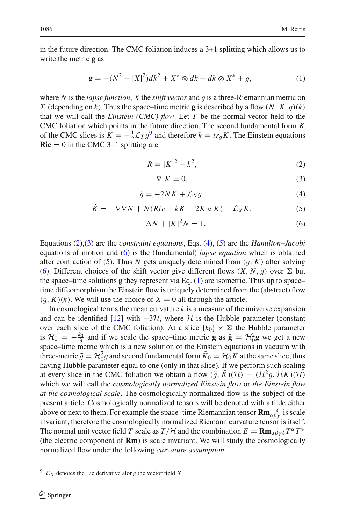in the future direction. The CMC foliation induces a 3+1 splitting which allows us to write the metric **g** as

$$
\mathbf{g} = -(N^2 - |X|^2)dk^2 + X^* \otimes dk + dk \otimes X^* + g,\tag{1}
$$

<span id="page-3-2"></span><span id="page-3-1"></span>where *<sup>N</sup>* is the *lapse function*, *<sup>X</sup>* the *shift vector* and *g* is a three-Riemannian metric on  $\Sigma$  (depending on *k*). Thus the space–time metric **g** is described by a flow  $(N, X, g)(k)$ that we will call the *Einstein (CMC) flow*. Let *T* be the normal vector field to the CMC foliation which points in the future direction. The second fundamental form *K* of the CMC slices is  $K = -\frac{1}{2}\mathcal{L}_T g^9$  $K = -\frac{1}{2}\mathcal{L}_T g^9$  and therefore  $k = tr_g K$ . The Einstein equations **Ric** = 0 in the CMC 3+1 splitting are  $\text{Ric} = 0$  in the CMC 3+1 splitting are

$$
R = |K|^2 - k^2,
$$
 (2)

$$
\nabla \cdot K = 0,\tag{3}
$$

$$
\dot{g} = -2NK + \mathcal{L}_X g,\tag{4}
$$

$$
\dot{K} = -\nabla \nabla N + N(Ric + kK - 2K \circ K) + \mathcal{L}_X K,\tag{5}
$$

$$
-\Delta N + |K|^2 N = 1. \tag{6}
$$

Equations [\(2\)](#page-3-1),[\(3\)](#page-3-1) are the *constraint equations*, Eqs. [\(4\)](#page-3-1), [\(5\)](#page-3-1) are the *Hamilton–Jacobi* equations of motion and [\(6\)](#page-3-1) is the (fundamental) *lapse equation* which is obtained after contraction of [\(5\)](#page-3-1). Thus *<sup>N</sup>* gets uniquely determined from (*g*, *<sup>K</sup>*) after solving [\(6\)](#page-3-1). Different choices of the shift vector give different flows  $(X, N, q)$  over  $\Sigma$  but the space–time solutions **g** they represent via Eq. [\(1\)](#page-3-2) are isometric. Thus up to space– time diffeomorphism the Einstein flow is uniquely determined from the (abstract) flow  $(q, K)(k)$ . We will use the choice of  $X = 0$  all through the article.

In cosmological terms the mean curvature *k* is a measure of the universe expansion and can be identified [\[12\]](#page-23-5) with  $-3\mathcal{H}$ , where  $\mathcal{H}$  is the Hubble parameter (constant over each slice of the CMC foliation). At a slice  $\{k_0\} \times \Sigma$  the Hubble parameter is  $H_0 = -\frac{k_0}{3}$  and if we scale the space–time metric **g** as  $\tilde{\mathbf{g}} = H_0^2 \mathbf{g}$  we get a new space–time metric which is a new solution of the Einstein equations in vacuum with three-metric  $\tilde{g} = H_0^2 g$  and second fundamental form  $\tilde{K}_0 = H_0 K$  at the same slice, thus having Hubble parameter equal to one (only in that slice). If we perform such scaling having Hubble parameter equal to one (only in that slice). If we perform such scaling at every slice in the CMC foliation we obtain a flow  $(\tilde{g}, \tilde{K})(\mathcal{H}) = (\mathcal{H}^2 g, \mathcal{H} K)(\mathcal{H})$ which we will call the *cosmologically normalized Einstein flow* or *the Einstein flow at the cosmological scale*. The cosmologically normalized flow is the subject of the present article. Cosmologically normalized tensors will be denoted with a tilde either above or next to them. For example the space–time Riemannian tensor  $\mathbf{Rm}_{\alpha\beta\gamma}^{\delta}$  is scale invariant, therefore the cosmologically normalized Riemann curvature tensor is itself. The normal unit vector field *T* scale as  $T/\mathcal{H}$  and the combination  $E = \mathbf{Rm}_{\alpha\beta\gamma\delta}T^{\alpha}T^{\gamma}$ (the electric component of **Rm**) is scale invariant. We will study the cosmologically normalized flow under the following *curvature assumption*.

<span id="page-3-0"></span> $9 \text{ }\mathcal{L}_X$  denotes the Lie derivative along the vector field *X*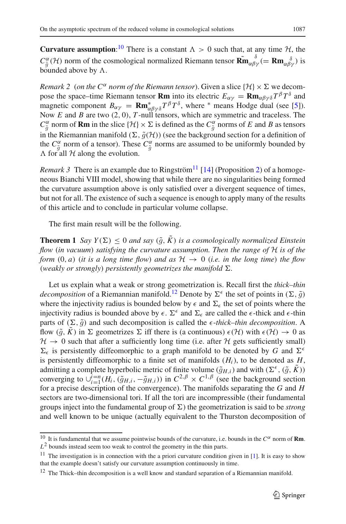**Curvature assumption:**<sup>[10](#page-4-0)</sup> There is a constant  $\Lambda > 0$  such that, at any time  $\mathcal{H}$ , the  $C^{\alpha}_{\tilde{g}}(\mathcal{H})$  norm of the cosmological normalized Riemann tensor  $\widetilde{\mathbf{Rm}}_{\alpha\beta\gamma}^{\delta}$  (=  $\mathbf{Rm}_{\alpha\beta\gamma}^{\delta}$ ) is bounded above by  $\Lambda$ . bounded above by  $\Lambda$ .

*Remark 2 (on the C<sup>* $\alpha$ *</sup> norm of the Riemann tensor). Given a slice*  $\{H\} \times \Sigma$  *we decom*pose the space–time Riemann tensor **Rm** into its electric  $E_{\alpha\gamma} = \mathbf{Rm}_{\alpha\beta\gamma\delta}T^{\beta}T^{\delta}$  and magnetic component  $B_{\alpha\gamma} = \mathbf{R} \mathbf{m}^*_{\alpha\beta\gamma\delta} T^\beta T^\delta$ , where <sup>\*</sup> means Hodge dual (see [\[5\]](#page-23-9)). Now *E* and *B* are two (2, 0), *T*-null tensors, which are symmetric and traceless. The  $C_g^{\alpha}$  norm of **Rm** in the slice {*H*}  $\times$   $\Sigma$  is defined as the  $C_g^{\alpha}$  norms of *E* and *B* as tensors in the Riemannian manifold ( $\Sigma$ ,  $\tilde{\sigma}(\mathcal{H})$ ) (see the background section for a definition of in the Riemannian manifold  $(\Sigma, \tilde{g}(\mathcal{H}))$  (see the background section for a definition of the  $C^{\alpha}_{\tilde{g}}$  norm of a tensor). These  $C^{\alpha}_{\tilde{g}}$  norms are assumed to be uniformly bounded by  $\Lambda$  for all  $\mathcal H$  along the evolution.  $\Lambda$  for all  $\mathcal H$  along the evolution.

*Remark 3* There is an example due to Ringström<sup>[11](#page-4-1)</sup> [\[14](#page-23-10)] (Proposition [2\)](#page-12-0) of a homogeneous Bianchi VIII model, showing that while there are no singularities being formed the curvature assumption above is only satisfied over a divergent sequence of times, but not for all. The existence of such a sequence is enough to apply many of the results of this article and to conclude in particular volume collapse.

The first main result will be the following.

<span id="page-4-3"></span>**Theorem 1** *Say*  $Y(\Sigma) \leq 0$  *and say*  $(\tilde{g}, \tilde{K})$  *is a cosmologically normalized Einstein flow* (*in vacuum*) *satisfying the curvature assumption. Then the range of H is of the form*  $(0, a)$  (*it is a long time flow*) *and as*  $H \rightarrow 0$  (*i.e. in the long time*) *the flow* (*weakly or strongly*) *persistently geometrizes the manifold*  $\Sigma$ .

Let us explain what a weak or strong geometrization is. Recall first the *thick–thin decomposition* of a Riemannian manifold.<sup>12</sup> Denote by  $\Sigma^{\epsilon}$  the set of points in  $(\Sigma, \tilde{q})$ where the injectivity radius is bounded below by  $\epsilon$  and  $\Sigma_{\epsilon}$  the set of points where the injectivity radius is bounded above by  $\epsilon$ .  $\Sigma^{\epsilon}$  and  $\Sigma_{\epsilon}$  are called the  $\epsilon$ -thick and  $\epsilon$ -thin parts of  $(\Sigma, \tilde{g})$  and such decomposition is called the  $\epsilon$ -thick–thin decomposition. A flow  $(\tilde{q}, \tilde{K})$  in  $\Sigma$  geometrizes  $\Sigma$  iff there is (a continuous)  $\epsilon(\mathcal{H})$  with  $\epsilon(\mathcal{H}) \to 0$  as  $H \rightarrow 0$  such that after a sufficiently long time (i.e. after *H* gets sufficiently small)  $\Sigma_{\epsilon}$  is persistently diffeomorphic to a graph manifold to be denoted by *G* and  $\Sigma^{\epsilon}$ is persistently diffeomorphic to a finite set of manifolds  $(H_i)$ , to be denoted as *H*, admitting a complete hyperbolic metric of finite volume  $(\tilde{g}_{H,i})$  and with  $(\Sigma^{\epsilon}, (\tilde{g}, \tilde{K}))$ admitting a complete hyperbolic metric of finite volume  $(\tilde{g}_{H,i})$  and with  $(\Sigma^{\epsilon}, (\tilde{g}, \tilde{K}))$ <br>converging to  $|\tilde{f} = n(H, (\tilde{g}_{H,i} \cdot \tilde{g}_{H,i}))$  in  $C^2 \beta \times C^1 \beta$  (see the background section converging to  $\bigcup_{i=1}^{\tilde{l}=n} (H_i, (\tilde{g}_{H,i}, -\tilde{g}_{H,i}))$  in  $C^{2,\beta} \times C^{1,\beta}$  (see the background section for a precise description of the convergence). The manifolds separating the *G* and *H* for a precise description of the convergence). The manifolds separating the *G* and *H* sectors are two-dimensional tori. If all the tori are incompressible (their fundamental groups inject into the fundamental group of  $\Sigma$ ) the geometrization is said to be *strong* and well known to be unique (actually equivalent to the Thurston decomposition of

<span id="page-4-0"></span><sup>&</sup>lt;sup>10</sup> It is fundamental that we assume pointwise bounds of the curvature, i.e. bounds in the  $C^{\alpha}$  norm of **Rm**.  $L^2$  bounds instead seem too weak to control the geometry in the thin parts.

<span id="page-4-1"></span><sup>&</sup>lt;sup>11</sup> The investigation is in connection with the a priori curvature condition given in [\[1](#page-23-2)]. It is easy to show that the example doesn't satisfy our curvature assumption continuously in time.

<span id="page-4-2"></span> $12$  The Thick–thin decomposition is a well know and standard separation of a Riemannian manifold.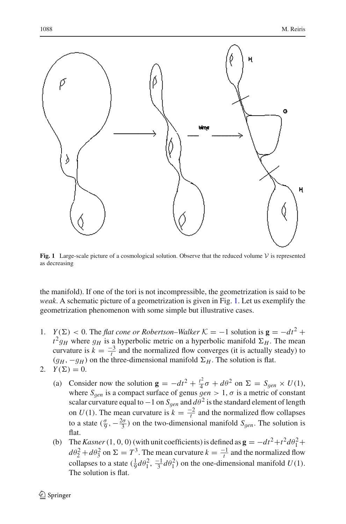

<span id="page-5-0"></span>**Fig. 1** Large-scale picture of a cosmological solution. Observe that the reduced volume  $V$  is represented as decreasing

the manifold). If one of the tori is not incompressible, the geometrization is said to be *weak*. A schematic picture of a geometrization is given in Fig. [1.](#page-5-0) Let us exemplify the geometrization phenomenon with some simple but illustrative cases.

- 1. *Y*( $\Sigma$ ) < 0. The *flat cone or Robertson–Walker*  $K = -1$  solution is  $\mathbf{g} = -dt^2 +$  $t^2 g_H$  where  $g_H$  is a hyperbolic metric on a hyperbolic manifold  $\Sigma_H$ . The mean curvature is  $k = \frac{-3}{t}$  and the normalized flow converges (it is actually steady) to  $(g_H, -g_H)$  on the three-dimensional manifold  $\Sigma_H$ . The solution is flat.
- 2.  $Y(\Sigma) = 0$ .
	- (a) Consider now the solution  $\mathbf{g} = -dt^2 + \frac{t^2}{4}\sigma + d\theta^2$  on  $\Sigma = S_{gen} \times U(1)$ , where  $S_{gen}$  is a compact surface of genus  $gen > 1$ ,  $\sigma$  is a metric of constant<br>scalar curvature equal to  $-1$  on  $S_2$  and  $d\theta^2$  is the standard element of length scalar curvature equal to  $-1$  on  $S_{gen}$  and  $d\theta^2$  is the standard element of length<br>car  $U(1)$ . The mean curvature is  $k = 2$  and the normalized flow collapses on  $U(1)$ . The mean curvature is  $k = \frac{-2}{t}$  and the normalized flow collapses to a state  $(\frac{\sigma}{9}, -\frac{2\sigma}{3})$  on the two-dimensional manifold  $S_{gen}$ . The solution is flat.
	- (b) The *Kasner*(1, 0, 0)(with unit coefficients) is defined as  $\mathbf{g} = -dt^2 + t^2 d\theta_1^2 +$  $d\theta_2^2 + d\theta_3^2$  on  $\Sigma = T^3$ . The mean curvature  $k = \frac{-1}{t}$  and the normalized flow collapses to a state  $(\frac{1}{9}d\theta_1^2, \frac{-1}{3}d\theta_1^2)$  on the one-dimensional manifold *U*(1). The solution is flat.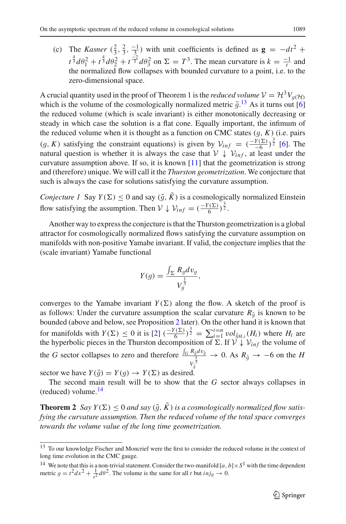(c) The *Kasner*  $(\frac{2}{3}, \frac{2}{3}, \frac{-1}{3})$  with unit coefficients is defined as  $\mathbf{g} = -dt^2 +$  $t^{\frac{4}{3}} d\theta_1^2 + t^{\frac{4}{3}} d\theta_2^2 + t^{\frac{-2}{3}} d\theta_3^2$  on  $\Sigma = T^3$ . The mean curvature is  $k = \frac{-1}{t}$  and the normalized flow collapses with bounded curvature to a point, i.e. to the zero-dimensional space.

A crucial quantity used in the proof of Theorem [1](#page-4-3) is the *reduced volume*  $V = H^3 V_g(H)$ which is the volume of the cosmologically normalized metric  $\tilde{g}$ .<sup>[13](#page-6-0)</sup> As it turns out [\[6\]](#page-23-3) the reduced volume (which is scale invariant) is either monotonically decreasing or the reduced volume (which is scale invariant) is either monotonically decreasing or steady in which case the solution is a flat cone. Equally important, the infimum of the reduced volume when it is thought as a function on CMC states  $(g, K)$  (i.e. pairs (*g*, *K*) satisfying the constraint equations) is given by  $V_{inf} = \left(\frac{-Y(\Sigma)}{-6}\right)^{\frac{3}{2}}$  [\[6](#page-23-3)]. The natural question is whether it is always the case that  $V + V_{i.f.}$  at least under the natural question is whether it is always the case that  $V \downarrow V_{inf}$ , at least under the curvature assumption above. If so, it is known [\[11](#page-23-4)] that the geometrization is strong and (therefore) unique. We will call it the *Thurston geometrization*. We conjecture that such is always the case for solutions satisfying the curvature assumption.

<span id="page-6-3"></span>*Conjecture 1* Say  $Y(\Sigma) \leq 0$  and say  $(\tilde{g}, \tilde{K})$  is a cosmologically normalized Einstein flow satisfying the assumption. Then  $V \downarrow V_{inf} = \left(\frac{-Y(\Sigma)}{6}\right)^{\frac{3}{2}}$ .

Another way to express the conjecture is that the Thurston geometrization is a global attractor for cosmologically normalized flows satisfying the curvature assumption on manifolds with non-positive Yamabe invariant. If valid, the conjecture implies that the (scale invariant) Yamabe functional

$$
Y(g) = \frac{\int_{\Sigma} R_g dv_g}{V_g^{\frac{1}{3}}},
$$

converges to the Yamabe invariant  $Y(\Sigma)$  along the flow. A sketch of the proof is as follows: Under the curvature assumption the scalar curvature  $R_{\tilde{q}}$  is known to be bounded (above and below, see Proposition [2](#page-12-0) later). On the other hand it is known that for manifolds with  $Y(\Sigma) \le 0$  it is  $[2]$   $\left(-\frac{Y(\Sigma)}{6}\right)^{\frac{3}{2}} = \sum_{i=1}^{i=n} vol_{\tilde{g}_{H,i}}(H_i)$  where  $H_i$  are the hyperbolic pieces in the Thurston decomposition of  $\Sigma$ . If  $\mathcal{V} \cup \mathcal{V}$ , the volume of the hyperbolic pieces in the Thurston decomposition of  $\Sigma$ . If  $V \downarrow V_{inf}$  the volume of the *G* sector collapses to zero and therefore  $\frac{\int_G R_{\tilde{g}} dv_{\tilde{g}}}{1}$  $\frac{N_{\tilde{g}}^{2} u v_{\tilde{g}}}{V_{\tilde{g}}^{3}} \to 0$ . As  $R_{\tilde{g}} \to -6$  on the *H* 

sector we have  $Y(\tilde{g}) = Y(g) \rightarrow Y(\Sigma)$  as desired.<br>The second main result will be to show that

The second main result will be to show that the *G* sector always collapses in (reduced) volume. $^{14}$ 

<span id="page-6-2"></span>**Theorem 2** Say  $Y(\Sigma) \leq 0$  and say  $(\tilde{q}, K)$  is a cosmologically normalized flow satis*fying the curvature assumption. Then the reduced volume of the total space converges towards the volume value of the long time geometrization.*

<span id="page-6-0"></span><sup>&</sup>lt;sup>13</sup> To our knowledge Fischer and Moncrief were the first to consider the reduced volume in the context of long time evolution in the CMC gauge.

<span id="page-6-1"></span><sup>&</sup>lt;sup>14</sup> We note that this is a non-trivial statement. Consider the two-manifold [ $a, b$ ] ×  $S<sup>1</sup>$  with the time dependent metric  $g = t^2 dx^2 + \frac{1}{t^2} d\theta^2$ . The volume is the same for all *t* but  $i n j_g \to 0$ .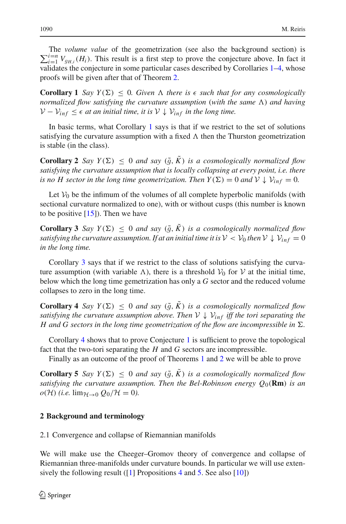$\sum_{i=1}^{i=n} V_{g_{H,i}}(H_i)$ . This result is a first step to prove the conjecture above. In fact it validates the conjecture in some particular cases described by Corollaries 1–4, whose The *volume value* of the geometrization (see also the background section) is validates the conjecture in some particular cases described by Corollaries [1–](#page-7-0)[4,](#page-7-1) whose proofs will be given after that of Theorem [2.](#page-6-2)

<span id="page-7-0"></span>**Corollary 1** *Say*  $Y(\Sigma) \leq 0$ *. Given*  $\Lambda$  *there is*  $\epsilon$  *such that for any cosmologically normalized flow satisfying the curvature assumption* (*with the same*  $\Lambda$ *) and having V* −  $V_{inf}$  ≤  $\epsilon$  *at an initial time, it is*  $V \downarrow V_{inf}$  *in the long time.* 

In basic terms, what Corollary [1](#page-7-0) says is that if we restrict to the set of solutions satisfying the curvature assumption with a fixed  $\Lambda$  then the Thurston geometrization is stable (in the class).

<span id="page-7-5"></span>**Corollary 2** *Say*  $Y(\Sigma) \leq 0$  *and say*  $(\tilde{g}, \tilde{K})$  *is a cosmologically normalized flow satisfying the curvature assumption that is locally collapsing at every point, i.e. there is no H sector in the long time geometrization. Then*  $Y(\Sigma) = 0$  *and*  $V \downarrow V_{inf} = 0$ *.* 

Let  $V_0$  be the infimum of the volumes of all complete hyperbolic manifolds (with sectional curvature normalized to one), with or without cusps (this number is known to be positive  $[15]$ ). Then we have

<span id="page-7-2"></span>**Corollary 3** *Say*  $Y(\Sigma) \leq 0$  *and say*  $(\tilde{q}, \tilde{K})$  *is a cosmologically normalized flow satisfying the curvature assumption. If at an initial time it is*  $V < V_0$  *then*  $V \downarrow V_{inf} = 0$ *in the long time.*

Corollary [3](#page-7-2) says that if we restrict to the class of solutions satisfying the curvature assumption (with variable  $\Lambda$ ), there is a threshold  $V_0$  for  $V$  at the initial time, below which the long time gemetrization has only a *G* sector and the reduced volume collapses to zero in the long time.

<span id="page-7-1"></span>**Corollary 4** *Say*  $Y(\Sigma) \leq 0$  *and say*  $(\tilde{g}, K)$  *is a cosmologically normalized flow satisfying the curvature assumption above. Then*  $V \downarrow V_{inf}$  *iff the tori separating the H* and *G* sectors in the long time geometrization of the flow are incompressible in  $\Sigma$ .

Corollary [4](#page-7-1) shows that to prove Conjecture [1](#page-6-3) is sufficient to prove the topological fact that the two-tori separating the *H* and *G* sectors are incompressible.

Finally as an outcome of the proof of Theorems [1](#page-4-3) and [2](#page-6-2) we will be able to prove

<span id="page-7-4"></span>**Corollary 5** *Say*  $Y(\Sigma) \leq 0$  *and say*  $(\tilde{g}, \tilde{K})$  *is a cosmologically normalized flow satisfying the curvature assumption. Then the Bel-Robinson energy Q*0(**Rm**) *is an*  $o(\mathcal{H})$  *(i.e.* lim $\mathcal{H}\rightarrow 0$   $Q_0/\mathcal{H}=0$ ).

#### **2 Background and terminology**

2.1 Convergence and collapse of Riemannian manifolds

<span id="page-7-3"></span>We will make use the Cheeger–Gromov theory of convergence and collapse of Riemannian three-manifolds under curvature bounds. In particular we will use extensively the following result ( $\begin{bmatrix} 1 \end{bmatrix}$  Propositions [4](#page-14-0) and [5.](#page-21-0) See also  $\begin{bmatrix} 10 \end{bmatrix}$ )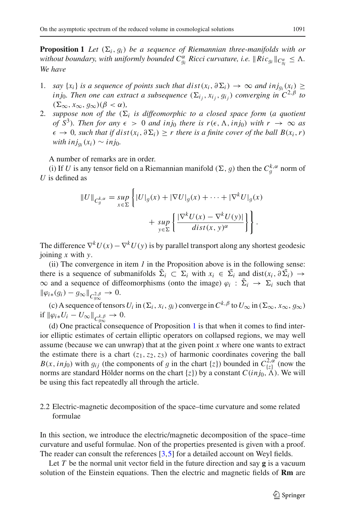**Proposition 1** *Let*  $(\Sigma_i, q_i)$  *be a sequence of Riemannian three-manifolds with or without boundary, with uniformly bounded*  $C^{\alpha}_{g_i}$  *Ricci curvature, i.e.*  $\|Ric_{g_i}\|_{C^{\alpha}_{g_i}} \leq \Lambda$ .<br>We have *We have*

- 1. *say* {*x<sub>i</sub>*} *is a sequence of points such that dist*(*x<sub>i</sub>*, ∂ $\Sigma$ *i*) → ∞ *and inj<sub><i>g*</sub></sub>(*x<sub>i</sub>*) ≥ *inj*<sub>0</sub>*. Then one can extract a subsequence*  $(\Sigma_{i_j}, x_{i_j}, g_{i_j})$  *converging in*  $C^{2,\beta}$  *to*  $(\Sigma_{\infty}, x_{\infty}, q_{\infty})(\beta < \alpha)$ *,*
- $(\Sigma_{\infty}, x_{\infty}, g_{\infty})(\beta < \alpha)$ ,<br>2. *suppose non of the*  $(\Sigma_i$  *is diffeomorphic to a closed space form* (*a quotient of*  $S^3$ *). Then for any*  $\epsilon > 0$  *and inj<sub>0</sub> there is r*( $\epsilon$ ,  $\Lambda$ *, inj<sub>0</sub>) with*  $r \to \infty$  *as*  $\epsilon$  → 0*, such that if dist*( $x_i$ ,  $\partial \Sigma_i$ ) ≥ *r* there is a finite cover of the ball  $B(x_i, r)$ *with inj*<sub>*gi*</sub>( $x_i$ ) ∼ *inj*<sub>0</sub>*.*

A number of remarks are in order.

(i) If *U* is any tensor field on a Riemannian manifold  $(\Sigma, g)$  then the  $C_g^{k, \alpha}$  norm of is defined as *U* is defined as

$$
||U||_{C_g^{k,\alpha}} = \sup_{x \in \Sigma} \left\{ |U|_g(x) + |\nabla U|_g(x) + \dots + |\nabla^k U|_g(x) + \sup_{y \in \Sigma} \left\{ \frac{|\nabla^k U(x) - \nabla^k U(y)|}{dist(x,y)^\alpha} \right\} \right\}.
$$

The difference  $\nabla^k U(x) - \nabla^k U(y)$  is by parallel transport along any shortest geodesic joining *x* with *y*.

(ii) The convergence in item *1* in the Proposition above is in the following sense: there is a sequence of submanifolds  $\tilde{\Sigma}_i \subset \Sigma_i$  with  $x_i \in \tilde{\Sigma}_i$  and dist $(x_i, \partial \tilde{\Sigma}_i) \to$  $\infty$  and a sequence of diffeomorphisms (onto the image)  $\varphi_i : \tilde{\Sigma}_i \to \Sigma_i$  such that  $\|\varphi_{i*}(g_i) - g_\infty\|_{C^{2,\beta}_{g_\infty}} \to 0.$ 

(c) A sequence of tensors  $U_i$  in  $(\Sigma_i, x_i, g_i)$  converge in  $C^{k, \beta}$  to  $U_{\infty}$  in  $(\Sigma_{\infty}, x_{\infty}, g_{\infty})$ if  $\|\varphi_{i\,*}U_{i}-U_{\infty}\|_{C_{q_{\infty}}^{k,\beta}}\to 0.$ 

(d) One practical consequence of Proposition [1](#page-7-3) is that when it comes to find interior elliptic estimates of certain elliptic operators on collapsed regions, we may well assume (because we can unwrap) that at the given point *x* where one wants to extract the estimate there is a chart  $(z_1, z_2, z_3)$  of harmonic coordinates covering the ball *B*(*x*, *inj*<sub>0</sub>) with *g*<sub>i</sub> j (the components of *g* in the chart {*z*}) bounded in  $C_{\{z\}}^{2,\alpha}$  (now the porms are standard Hölder porms on the chart  $f_z$ l) by a constant  $C(in \alpha \Delta)$ . We will norms are standard Hölder norms on the chart  $\{z\}$ ) by a constant  $C(inj_0, \Lambda)$ . We will be using this fact repeatedly all through the article.

#### 2.2 Electric-magnetic decomposition of the space–time curvature and some related formulae

In this section, we introduce the electric/magnetic decomposition of the space–time curvature and useful formulae. Non of the properties presented is given with a proof. The reader can consult the references [\[3](#page-23-6)[,5](#page-23-9)] for a detailed account on Weyl fields.

Let *T* be the normal unit vector field in the future direction and say **g** is a vacuum solution of the Einstein equations. Then the electric and magnetic fields of **Rm** are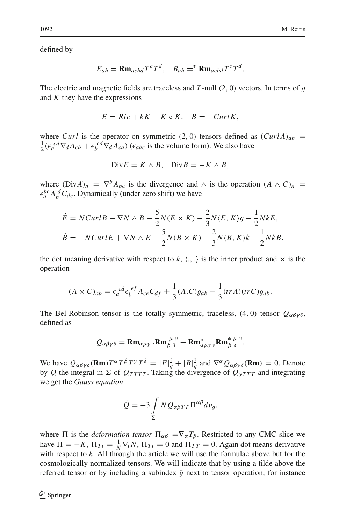defined by

$$
E_{ab} = \mathbf{R} \mathbf{m}_{acbd} T^c T^d, \quad B_{ab} =^* \mathbf{R} \mathbf{m}_{acbd} T^c T^d.
$$

The electric and magnetic fields are traceless and *<sup>T</sup>* -null (2, <sup>0</sup>) vectors. In terms of *g* and *K* they have the expressions

$$
E = Ric + kK - K \circ K, \quad B = -\frac{CurlK}{}
$$

where *Curl* is the operator on symmetric (2, 0) tensors defined as  $(CurlA)_{ab}$  =  $\frac{1}{2}(\epsilon_a^{cd}\nabla_d A_{cb} + \epsilon_b^{cd}\nabla_d A_{ca})$  ( $\epsilon_{abc}$  is the volume form). We also have

$$
Div E = K \wedge B, \quad Div B = -K \wedge B,
$$

where  $(DivA)_a = \nabla^b A_{ba}$  is the divergence and  $\wedge$  is the operation  $(A \wedge C)_a$  $\epsilon_a^{bc} A_b^d C_{dc}$ . Dynamically (under zero shift) we have

$$
\dot{E} = NCurlB - \nabla N \wedge B - \frac{5}{2}N(E \times K) - \frac{2}{3}N(E, K)g - \frac{1}{2}NkE,
$$
\n
$$
\dot{B} = -NCurlE + \nabla N \wedge E - \frac{5}{2}N(B \times K) - \frac{2}{3}N(B, K)k - \frac{1}{2}NkB.
$$

the dot meaning derivative with respect to  $k, \langle ., . \rangle$  is the inner product and  $\times$  is the operation

$$
(A \times C)_{ab} = \epsilon_a^{cd} \epsilon_b^{ef} A_{ce} C_{df} + \frac{1}{3} (A.C) g_{ab} - \frac{1}{3} (tr A)(tr C) g_{ab}.
$$

The Bel-Robinson tensor is the totally symmetric, traceless, (4, 0) tensor  $Q_{\alpha\beta\gamma\delta}$ , defined as

$$
Q_{\alpha\beta\gamma\delta} = \mathbf{Rm}_{\alpha\mu\gamma\nu}\mathbf{Rm}_{\beta\delta}^{\mu\nu} + \mathbf{Rm}_{\alpha\mu\gamma\nu}^*\mathbf{Rm}_{\beta\delta}^{\mu\nu}.
$$

We have  $Q_{\alpha\beta\gamma\delta}(\mathbf{Rm})T^{\alpha}T^{\beta}T^{\gamma}T^{\delta} = |E|_{g}^{2} + |B|_{g}^{2}$  and  $\nabla^{\alpha}Q_{\alpha\beta\gamma\delta}(\mathbf{Rm}) = 0$ . Denote by *Q* the integral in  $\Sigma$  of  $Q_{TTTT}$ . Taking the divergence of  $Q_{\alpha TTT}$  and integrating we get the *Gauss equation*

$$
\dot{Q} = -3 \int\limits_{\Sigma} N Q_{\alpha\beta T T} \Pi^{\alpha\beta} dv_g.
$$

where  $\Pi$  is the *deformation tensor*  $\Pi_{\alpha\beta} = \nabla_{\alpha} T_{\beta}$ . Restricted to any CMC slice we have  $\Pi = -K$ ,  $\Pi_{Ti} = \frac{1}{N} \nabla_i N$ ,  $\Pi_{Ti} = 0$  and  $\Pi_{TT} = 0$ . Again dot means derivative with respect to *k*. All through the article we will use the formulae above but for the cosmologically normalized tensors. We will indicate that by using a tilde above the referred tensor or by including a subindex  $\tilde{g}$  next to tensor operation, for instance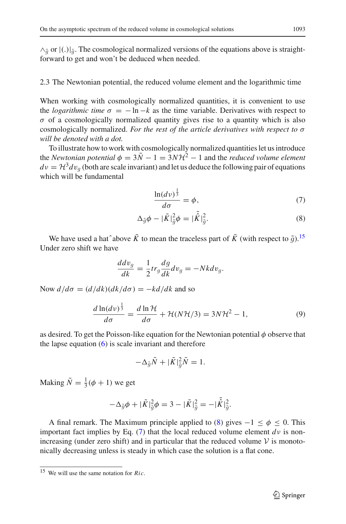$\wedge_{\tilde{g}}$  or  $|(.)|_{\tilde{g}}$ . The cosmological normalized versions of the equations above is straight-<br>forward to get and won't be deduced when needed forward to get and won't be deduced when needed.

## 2.3 The Newtonian potential, the reduced volume element and the logarithmic time

When working with cosmologically normalized quantities, it is convenient to use the *logarithmic time*  $\sigma = -\ln -k$  as the time variable. Derivatives with respect to  $\sigma$  of a cosmologically normalized quantity gives rise to a quantity which is also cosmologically normalized. *For the rest of the article derivatives with respect to* σ *will be denoted with a dot.*

To illustrate how to work with cosmologically normalized quantities let us introduce the *Newtonian potential*  $\phi = 3\tilde{N} - 1 = 3N\mathcal{H}^2 - 1$  and the *reduced volume element*  $dv = H^3 dv_g$  (both are scale invariant) and let us deduce the following pair of equations which will be fundamental

$$
\frac{\ln(d\nu)^{\frac{1}{3}}}{d\sigma} = \phi,\tag{7}
$$

<span id="page-10-1"></span>
$$
\Delta_{\tilde{g}}\phi - |\tilde{K}|_{\tilde{g}}^2\phi = |\tilde{\hat{K}}|_{\tilde{g}}^2.
$$
\n(8)

We have used a hat^above  $\tilde{K}$  to mean the traceless part of  $\tilde{K}$  (with respect to  $\tilde{q}$ ).<sup>[15](#page-10-0)</sup> Under zero shift we have

$$
\frac{ddv_g}{dk} = \frac{1}{2}tr_g\frac{dg}{dk}dv_g = -Nk dv_g.
$$

Now  $d/d\sigma = (d/dk)(dk/d\sigma) = -kd/dk$  and so

$$
\frac{d\ln(d\nu)^{\frac{1}{3}}}{d\sigma} = \frac{d\ln\mathcal{H}}{d\sigma} + \mathcal{H}(N\mathcal{H}/3) = 3N\mathcal{H}^2 - 1,\tag{9}
$$

as desired. To get the Poisson-like equation for the Newtonian potential  $\phi$  observe that the lapse equation  $(6)$  is scale invariant and therefore

$$
-\Delta_{\tilde{g}}\tilde{N} + |\tilde{K}|_{\tilde{g}}^2 \tilde{N} = 1.
$$

Making  $\tilde{N} = \frac{1}{3}(\phi + 1)$  we get

$$
-\Delta_{\tilde{g}}\phi + |\tilde{K}|_{\tilde{g}}^2\phi = 3 - |\tilde{K}|_{\tilde{g}}^2 = -|\tilde{K}|_{\tilde{g}}^2.
$$

A final remark. The Maximum principle applied to [\(8\)](#page-10-1) gives  $-1 \le \phi \le 0$ . This important fact implies by Eq. [\(7\)](#page-10-1) that the local reduced volume element  $d\nu$  is nonincreasing (under zero shift) and in particular that the reduced volume  $V$  is monotonically decreasing unless is steady in which case the solution is a flat cone.

<span id="page-10-0"></span><sup>15</sup> We will use the same notation for *Ric*.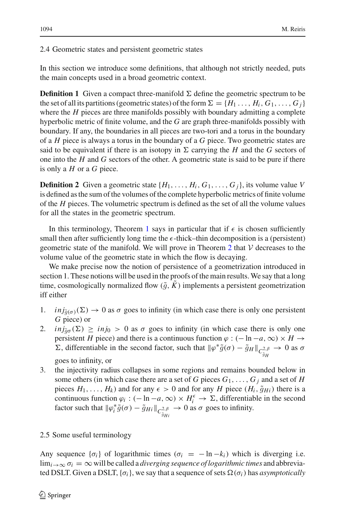In this section we introduce some definitions, that although not strictly needed, puts the main concepts used in a broad geometric context.

**Definition 1** Given a compact three-manifold  $\Sigma$  define the geometric spectrum to be the set of all its partitions (geometric states) of the form  $\Sigma = \{H_1, \ldots, H_i, G_1, \ldots, G_i\}$ where the *H* pieces are three manifolds possibly with boundary admitting a complete hyperbolic metric of finite volume, and the *G* are graph three-manifolds possibly with boundary. If any, the boundaries in all pieces are two-tori and a torus in the boundary of a *H* piece is always a torus in the boundary of a *G* piece. Two geometric states are said to be equivalent if there is an isotopy in  $\Sigma$  carrying the *H* and the *G* sectors of one into the *H* and *G* sectors of the other. A geometric state is said to be pure if there is only a *H* or a *G* piece.

**Definition 2** Given a geometric state  $\{H_1, \ldots, H_i, G_1, \ldots, G_i\}$ , its volume value *V* is defined as the sum of the volumes of the complete hyperbolic metrics of finite volume of the *H* pieces. The volumetric spectrum is defined as the set of all the volume values for all the states in the geometric spectrum.

In this terminology, Theorem [1](#page-4-3) says in particular that if  $\epsilon$  is chosen sufficiently small then after sufficiently long time the  $\epsilon$ -thick–thin decomposition is a (persistent) geometric state of the manifold. We will prove in Theorem [2](#page-6-2) that  $V$  decreases to the volume value of the geometric state in which the flow is decaying.

We make precise now the notion of persistence of a geometrization introduced in section 1. These notions will be used in the proofs of the main results. We say that a long time, cosmologically normalized flow  $(\tilde{q}, K)$  implements a persistent geometrization iff either

- 1. *inj* $_{\tilde{g}(\sigma)}(\Sigma) \to 0$  as  $\sigma$  goes to infinity (in which case there is only one persistent *G* piece) or
- 2. *inj*<sub> $\tilde{g}_{\sigma}(\Sigma) \geq inj_0 > 0$  as  $\sigma$  goes to infinity (in which case there is only one</sub> persistent *H* piece) and there is a continuous function  $\varphi$  : (− ln −*a*, ∞) × *H* →  $Σ$ , differentiable in the second factor, such that  $\|\varphi^*\tilde{g}(\sigma) - \tilde{g}_H\|_{C_{\tilde{g}_H}^{2,\beta}}$  $\rightarrow$  0 as  $\sigma$

goes to infinity, or

3. the injectivity radius collapses in some regions and remains bounded below in some others (in which case there are a set of *G* pieces  $G_1, \ldots, G_j$  and a set of *H* pieces  $H_1, \ldots, H_k$  and for any  $\epsilon > 0$  and for any *H* piece  $(H_i, \tilde{g}_{Hi})$  there is a continuous function  $\varphi_i$  :  $(-\ln -a, \infty) \times H_i^{\epsilon} \to \Sigma$ , differentiable in the second factor such that  $\|\varphi_i^*\tilde{g}(\sigma) - \tilde{g}_{Hi}\|_{C^{2,\beta}_{\tilde{g}_{Hi}}}$  $\rightarrow$  0 as  $\sigma$  goes to infinity.

## 2.5 Some useful terminology

Any sequence  $\{\sigma_i\}$  of logarithmic times  $(\sigma_i = -\ln -k_i)$  which is diverging i.e.  $\lim_{i\to\infty} \sigma_i = \infty$  will be called a *diverging sequence of logarithmic times* and abbreviated DSLT. Given a DSLT,  $\{\sigma_i\}$ , we say that a sequence of sets  $\Omega(\sigma_i)$  has *asymptotically*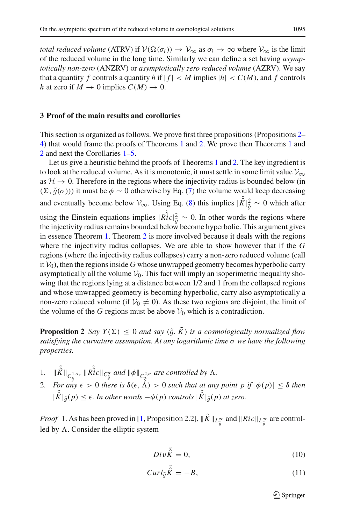*total reduced volume* (ATRV) if  $V(\Omega(\sigma_i)) \to V_{\infty}$  as  $\sigma_i \to \infty$  where  $V_{\infty}$  is the limit of the reduced volume in the long time. Similarly we can define a set having *asymptotically non-zero* (ANZRV) or *asymptotically zero reduced volume* (AZRV). We say that a quantity *f* controls a quantity *h* if  $|f| < M$  implies  $|h| < C(M)$ , and *f* controls *h* at zero if  $M \to 0$  implies  $C(M) \to 0$ .

#### **3 Proof of the main results and corollaries**

This section is organized as follows. We prove first three propositions (Propositions [2–](#page-12-0) [4\)](#page-14-0) that would frame the proofs of Theorems [1](#page-4-3) and [2.](#page-6-2) We prove then Theorems [1](#page-4-3) and [2](#page-6-2) and next the Corollaries [1–](#page-7-0)[5.](#page-7-4)

Let us give a heuristic behind the proofs of Theorems [1](#page-4-3) and [2.](#page-6-2) The key ingredient is to look at the reduced volume. As it is monotonic, it must settle in some limit value  $V_{\infty}$ as  $H \to 0$ . Therefore in the regions where the injectivity radius is bounded below (in  $(\Sigma, \tilde{g}(\sigma))$ ) it must be  $\phi \sim 0$  otherwise by Eq. [\(7\)](#page-10-1) the volume would keep decreasing and eventually become below  $V_{\infty}$ . Using Eq. [\(8\)](#page-10-1) this implies  $|\tilde{\hat{K}}|^2_{\tilde{g}} \sim 0$  which after using the Einstein equations implies  $|\tilde{Ric}|^2_{\tilde{g}} \sim 0$ . In other words the regions where the injectivity radius remains bounded below become hyperbolic. This argument gives the injectivity radius remains bounded below become hyperbolic. This argument gives in essence Theorem [1.](#page-4-3) Theorem [2](#page-6-2) is more involved because it deals with the regions where the injectivity radius collapses. We are able to show however that if the *G* regions (where the injectivity radius collapses) carry a non-zero reduced volume (call it  $V_0$ ), then the regions inside *G* whose unwrapped geometry becomes hyperbolic carry asymptotically all the volume  $V_0$ . This fact will imply an isoperimetric inequality showing that the regions lying at a distance between 1/2 and 1 from the collapsed regions and whose unwrapped geometry is becoming hyperbolic, carry also asymptotically a non-zero reduced volume (if  $V_0 \neq 0$ ). As these two regions are disjoint, the limit of the volume of the *G* regions must be above  $V_0$  which is a contradiction.

<span id="page-12-0"></span>**Proposition 2** *Say*  $Y(\Sigma) \leq 0$  *and say*  $(\tilde{g}, \tilde{K})$  *is a cosmologically normalized flow satisfying the curvature assumption. At any logarithmic time* σ *we have the following properties.*

- 1.  $\|\tilde{\hat{K}}\|_{C_{\tilde{g}}^{1,\alpha}}$ <br>2. For any *,*  $\|\tilde{Ric}\|_{C_{\tilde{g}}^{\alpha}}$  *and*  $\|\phi\|_{C_{\tilde{g}}^{2,\alpha}}$ <br> $\leq$  > 0 *there is*  $\delta(\leq \lambda)$ *are controlled by*  $\Lambda$ .
- 2. *For any*  $\epsilon > 0$  *there is*  $\delta(\epsilon, \Lambda) > 0$  *such that at any point p if*  $|\phi(p)| \leq \delta$  *then*  $|\tilde{\hat{K}}|_{\tilde{g}}(p) \leq \epsilon$ . In other words  $-\phi(p)$  controls  $|\tilde{\hat{K}}|_{\tilde{g}}(p)$  at zero.

*Proof* 1. As has been proved in [\[1](#page-23-2), Proposition 2.2],  $\|\tilde{K}\|_{L_{\tilde{g}}^{\infty}}$  and  $\|Ric\|_{L_{\tilde{g}}^{\infty}}$  are controlled by  $\Lambda$ . Consider the elliptic system

$$
Div\tilde{K} = 0,\t(10)
$$

<span id="page-12-1"></span>
$$
Curl_{\tilde{g}}\tilde{\hat{K}} = -B,\tag{11}
$$

 $\mathcal{D}$  Springer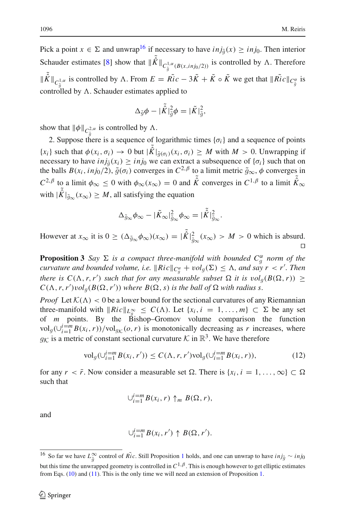Pick a point  $x \in \Sigma$  and unwrap<sup>16</sup> if necessary to have  $inj_{\tilde{g}}(x) \geq inj_0$ . Then interior Schauder estimates [\[8](#page-23-14)] show that  $\|\tilde{K}\|_{C_{\tilde{g}}^{1,\alpha}(B(x,inj_0/2))}$  is controlled by  $\Lambda$ . Therefore  $\|\tilde{\hat{K}}\|_{C_{\tilde{g}}^{1,\alpha}}$  is controlled by  $\Lambda$ . From  $E = \tilde{Ric} - 3\tilde{K} + \tilde{K} \circ \tilde{K}$  we get that  $\|\tilde{Ric}\|_{C_{\tilde{g}}^{\alpha}}$  is controlled by  $\Lambda$ . Schauder estimates applied to

$$
\Delta_{\tilde{g}}\phi - |\tilde{\hat{K}}|_{\tilde{g}}^2\phi = |\tilde{K}|_{\tilde{g}}^2,
$$

show that  $\|\phi\|_{C^2_{\tilde{a}}}$  is controlled by  $\Lambda$ .

2. Suppose there is a sequence of logarithmic times  $\{\sigma_i\}$  and a sequence of points  ${x_i}$  such that  $\phi(x_i, \sigma_i) \to 0$  but  $|\tilde{K}|_{\tilde{g}(\sigma_i)}(x_i, \sigma_i) \geq M$  with  $M > 0$ . Unwrapping if necessary to have  $inj_{\tilde{g}}(x_i) \geq inj_0$  we can extract a subsequence of  $\{\sigma_i\}$  such that on the balls  $B(x_i, inj_0/2)$ ,  $\tilde{g}(\sigma_i)$  converges in  $C^{2,\beta}$  to a limit metric  $\tilde{g}_{\infty}, \phi$  converges in  $C^{2,\beta}$  to a limit  $\phi_{\infty} \leq 0$  with  $\phi_{\infty}(x_{\infty}) = 0$  and  $\tilde{\hat{K}}$  converges in  $C^{1,\beta}$  to a limit  $\tilde{\hat{K}}_{\infty}$ with  $|\tilde{\hat{K}}|_{\tilde{g}_{\infty}}(x_{\infty}) \geq M$ , all satisfying the equation

$$
\Delta_{\tilde{g}_{\infty}} \phi_{\infty} - |\tilde{K}_{\infty}|_{\tilde{g}_{\infty}}^2 \phi_{\infty} = |\tilde{\hat{K}}|_{\tilde{g}_{\infty}}^2.
$$

However at  $x_{\infty}$  it is  $0 \geq (\Delta_{\tilde{g}_{\infty}} \phi_{\infty})(x_{\infty}) = |\tilde{K}|_{\tilde{g}_{\infty}}^2(x_{\infty}) > M > 0$  which is absurd.  $\Box$ 

<span id="page-13-1"></span>**Proposition 3** *Say*  $\Sigma$  *is a compact three-manifold with bounded*  $C_g^{\alpha}$  *norm of the curvature and bounded volume i.e.*  $\|\textbf{Ric}\|_{C\alpha} + \textbf{vol}(\Sigma) \leq \Lambda$  *and say*  $\mathbf{r} \leq \mathbf{r}'$  *Then curvature and bounded volume, i.e.*  $\|Ric\|_{C_g^{\alpha}} + vol_g(\Sigma) \leq \Lambda$ , and say  $r < r'$ . Then<br>there is  $C(\Lambda, \pi, \pi')$  such that for any maggiumble wheat  $\Omega$ , it is used  $(BC, \pi)$ . *there is*  $C(\Lambda, r, r')$  *such that for any measurable subset*  $\Omega$  *it is*  $vol_g(B(\Omega, r)) \geq C(\Lambda, r, r')$  *ind*  $(B(\Omega, r'))$  *where*  $B(\Omega, s)$  *is the hall of*  $\Omega$  *with radius s*  $C(\Lambda, r, r')vol_g(B(\Omega, r'))$  *where*  $B(\Omega, s)$  *is the ball of*  $\Omega$  *with radius s.* 

*Proof* Let  $K(\Lambda) < 0$  be a lower bound for the sectional curvatures of any Riemannian three-manifold with  $\|Ric\|_{L^{\infty}_{g}} \leq C(\Lambda)$ . Let  $\{x_i, i = 1, ..., m\} \subset \Sigma$  be any set of *m* points. By the Bishon-Gromov volume comparison the function of *m* points. By the Bishop–Gromov volume comparison the function vol<sub>g</sub>(∪ $i=$ <sup>*n*</sup> $B(x_i, r)$ )/vol<sub>g $K$ </sub> (*o*, *r*) is monotonically decreasing as *r* increases, where  $g_K$  is a metric of constant sectional curvature  $K$  in  $\mathbb{R}^3$ . We have therefore

$$
\text{vol}_g(\bigcup_{i=1}^{i=m} B(x_i, r')) \le C(\Lambda, r, r') \text{vol}_g(\bigcup_{i=1}^{i=m} B(x_i, r)),\tag{12}
$$

for any  $r < \bar{r}$ . Now consider a measurable set  $\Omega$ . There is  $\{x_i, i = 1, \ldots, \infty\} \subset \Omega$ such that

$$
\cup_{i=1}^{i=m} B(x_i,r) \uparrow_m B(\Omega,r),
$$

and

$$
\bigcup_{i=1}^{i=m} B(x_i, r') \uparrow B(\Omega, r').
$$

<span id="page-13-0"></span><sup>&</sup>lt;sup>[1](#page-7-3)6</sup> So far we have  $L_g^{\infty}$  control of *Ric*. Still Proposition 1 holds, and one can unwrap to have *inj<sub>0</sub>* ∼ *inj*<sub>0</sub>  $\sim$  *inj*<sub>0</sub> but this time the unwrapped geometry is controlled in  $C^{1,\beta}$ . This is enough however to get elliptic estimates from Eqs. [\(10\)](#page-12-1) and [\(11\)](#page-12-1). This is the only time we will need an extension of Proposition [1.](#page-7-3)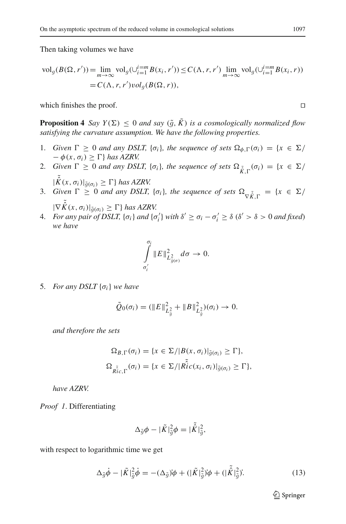Then taking volumes we have

$$
\text{vol}_g(B(\Omega, r')) = \lim_{m \to \infty} \text{vol}_g(\bigcup_{i=1}^{i=m} B(x_i, r')) \le C(\Lambda, r, r') \lim_{m \to \infty} \text{vol}_g(\bigcup_{i=1}^{i=m} B(x_i, r))
$$
  
= C(\Lambda, r, r') \text{vol}\_g(B(\Omega, r)),

which finishes the proof.  $\Box$ 

<span id="page-14-0"></span>**Proposition 4** *Say*  $Y(\Sigma) \leq 0$  *and say*  $(\tilde{q}, \tilde{K})$  *is a cosmologically normalized flow satisfying the curvature assumption. We have the following properties.*

- 1. *Given*  $\Gamma \ge 0$  *and any DSLT,* { $\sigma_i$ }*, the sequence of sets*  $\Omega_{\phi,\Gamma}(\sigma_i) = \{x \in \Sigma / \sigma_i\}$  $-\phi(x, \sigma_i) \geq \Gamma$  *has AZRV.*
- 2. *Given*  $\Gamma \ge 0$  *and any DSLT*, { $\sigma_i$ }*, the sequence of sets*  $\Omega_{\tilde{K},\Gamma}(\sigma_i) = \{x \in \Sigma/\}$
- $|\tilde{K}(x, \sigma_i)|_{\tilde{g}(\sigma_i)} \geq \Gamma\}$  *has AZRV.*<br>3. *Given*  $\Gamma \geq 0$  *and any DSLT,* { $\sigma_i$ }*, the sequence of sets*  $\Omega_{\nabla \tilde{K}, \Gamma} = \{x \in \Sigma / \Gamma\}$  $|\nabla \tilde{K}(x, \sigma_i)|_{\tilde{g}(\sigma_i)} \geq \Gamma\}$  has AZRV.<br>For any pair of DSIT  $f_{\sigma}$ , and Iq
- 4. *For any pair of DSLT,*  $\{\sigma_i\}$  *and*  $\{\sigma'_i\}$  *with*  $\delta' \ge \sigma_i \sigma'_i \ge \delta$  ( $\delta' > \delta > 0$  *and fixed*) *we have*

$$
\int\limits_{\sigma'_i}^{\sigma_i} \|E\|_{L_{\tilde{g}(\sigma)}^2}^2 d\sigma \to 0.
$$

5. *For any DSLT* {σ*i*} *we have*

$$
\tilde{Q}_0(\sigma_i) = (\|E\|_{L_{\tilde{g}}^2}^2 + \|B\|_{L_{\tilde{g}}^2}^2)(\sigma_i) \to 0.
$$

*and therefore the sets*

$$
\Omega_{B,\Gamma}(\sigma_i) = \{x \in \Sigma / |B(x, \sigma_i)|_{\tilde{g}(\sigma_i)} \geq \Gamma\},\
$$
  

$$
\Omega_{\tilde{Ric},\Gamma}(\sigma_i) = \{x \in \Sigma / |\tilde{Ric}(x_i, \sigma_i)|_{\tilde{g}(\sigma_i)} \geq \Gamma\},\
$$

*have AZRV.*

*Proof 1*. Differentiating

$$
\Delta_{\tilde{g}}\phi - |\tilde{K}|_{\tilde{g}}^2\phi = |\tilde{K}|_{\tilde{g}}^2,
$$

<span id="page-14-1"></span>with respect to logarithmic time we get

$$
\Delta_{\tilde{g}}\dot{\phi} - |\tilde{K}|_{\tilde{g}}^2 \dot{\phi} = -(\Delta_{\tilde{g}})\dot{\phi} + (|\tilde{K}|_{\tilde{g}}^2)\dot{\phi} + (|\tilde{K}|_{\tilde{g}}^2).
$$
\n(13)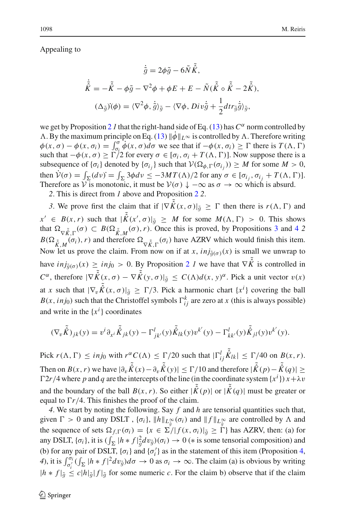Appealing to

$$
\dot{\tilde{g}} = 2\phi\tilde{g} - 6\tilde{N}\tilde{\tilde{K}},
$$
  

$$
\dot{\tilde{K}} = -\tilde{\tilde{K}} - \phi\tilde{g} - \nabla^2\phi + \phi E + E - \tilde{N}(\tilde{\hat{K}} \circ \tilde{\hat{K}} - 2\tilde{\hat{K}}),
$$
  

$$
(\Delta_{\tilde{g}})(\phi) = \langle \nabla^2\phi, \dot{\tilde{g}} \rangle_{\tilde{g}} - \langle \nabla\phi, Div\dot{\tilde{g}} + \frac{1}{2}dir_{\tilde{g}}\dot{\tilde{g}} \rangle_{\tilde{g}},
$$

we get by Proposition [2](#page-12-0) *l* that the right-hand side of Eq. [\(13\)](#page-14-1) has  $C^{\alpha}$  norm controlled by  $\Lambda$ . By the maximum principle on Eq. [\(13\)](#page-14-1)  $\|\dot{\phi}\|_{L^\infty}$  is controlled by  $\Lambda$ . Therefore writing  $\phi(x,\sigma) - \phi(x,\sigma_i) = \int_{\sigma_i}^{\sigma} \phi(x,\sigma) d\sigma$  we see that if  $-\phi(x,\sigma_i) \geq \Gamma$  there is  $T(\Lambda, \Gamma)$ such that  $-\phi(x,\sigma) \ge \Gamma/2$  for every  $\sigma \in [\sigma_i, \sigma_i + T(\Lambda, \Gamma)]$ . Now suppose there is a subsequence of  $\{\sigma_i\}$  denoted by  $\{\sigma_{i_j}\}$  such that  $V(\Omega_{\phi,\Gamma}(\sigma_{i_j})) \geq M$  for some  $M > 0$ , then  $\dot{\mathcal{V}}(\sigma) = \int_{\Sigma} (dv) = \int_{\Sigma} 3\phi dv \le -3MT(\Lambda)/2$  for any  $\sigma \in [\sigma_{i_j}, \sigma_{i_j} + T(\Lambda, \Gamma)].$ Therefore as  $\check{\mathcal{V}}$  is monotonic, it must be  $\mathcal{V}(\sigma) \downarrow -\infty$  as  $\sigma \to \infty$  which is absurd.

*2*. This is direct from *1* above and Proposition [2](#page-12-0) *2*.

*3*. We prove first the claim that if  $|\nabla \tilde{K}(x, \sigma)|_{\tilde{g}} \geq \Gamma$  then there is  $r(\Lambda, \Gamma)$  and  $x' \in B(x, r)$  such that  $|\tilde{K}(x', \sigma)|_{\tilde{g}} \geq M$  for some  $M(\Lambda, \Gamma) > 0$ . This shows that  $\Omega \sim (\sigma) \subset B(\Omega \sim (\sigma), r)$ . Once this is proved by Propositions 3 and 4.2 that  $\Omega_{\nabla \tilde{K},\Gamma}(\sigma) \subset B(\Omega_{\tilde{K},M}(\sigma),r)$ . Once this is proved, by Propositions [3](#page-13-1) and [4](#page-14-0) 2  $B(\Omega_{\tilde{K},M}(\sigma_i), r)$  and therefore  $\Omega_{\nabla \tilde{K},\Gamma}(\sigma_i)$  have AZRV which would finish this item. Now let us prove the claim. From now on if at *x*,  $inj_{\tilde{q}(\sigma)}(x)$  is small we unwrap to have  $inj_{\tilde{g}(\sigma)}(x) \geq inj_0 > 0$ . By Proposition [2](#page-12-0) *1* we have that  $\nabla \tilde{\hat{K}}$  is controlled in  $C^{\alpha}$ , therefore  $|\nabla \tilde{\hat{K}}(x,\sigma) - \nabla \tilde{\hat{K}}(y,\sigma)|_{\tilde{g}} \leq C(\Lambda) d(x,y)^{\alpha}$ . Pick a unit vector  $v(x)$ at *x* such that  $|\nabla_v \hat{K}(x, \sigma)|_{\tilde{g}} \ge \Gamma/3$ . Pick a harmonic chart  $\{x^i\}$  covering the ball  $P(x, in)$  even that the Christoffel symbols  $\Gamma^k$  are zero at *x* (this is always possible)  $B(x, inj_0)$  such that the Christoffel symbols  $\Gamma_{ij}^k$  are zero at *x* (this is always possible) and write in the  $\{x^i\}$  coordinates

$$
(\nabla_v \tilde{\hat{K}})_{jk}(y) = v^i \partial_{x^i} \tilde{\hat{K}}_{jk}(y) - \Gamma^l_{jk'}(y) \tilde{\hat{K}}_{lk}(y) v^{k'}(y) - \Gamma^l_{kk'}(y) \tilde{\hat{K}}_{jl}(y) v^{k'}(y).
$$

Pick  $r(\Lambda, \Gamma) \leq inj_0$  with  $r^{\alpha} C(\Lambda) \leq \Gamma/20$  such that  $|\Gamma_{ij}^l$  $\tilde{\hat{K}}_{lk}$  |  $\leq \Gamma/40$  on  $B(x, r)$ . Then on  $B(x, r)$  we have  $|\partial_v \tilde{\hat{K}}(x) - \partial_v \tilde{\hat{K}}(y)| \le \Gamma/10$  and therefore  $|\tilde{\hat{K}}(p) - \tilde{\hat{K}}(q)| \ge$  $\Gamma$ 2*r*/4 where *p* and *q* are the intercepts of the line (in the coordinate system {*x<sup>i</sup>*}) *x* +  $\lambda$ *v* and the boundary of the ball  $B(x, r)$ . So either  $|\tilde{\hat{K}}(p)|$  or  $|\tilde{\hat{K}}(q)|$  must be greater or equal to  $\Gamma r/4$ . This finishes the proof of the claim.

*4*. We start by noting the following. Say *f* and *h* are tensorial quantities such that, given  $\Gamma > 0$  and any DSLT,  $\{\sigma_i\}$ ,  $\|h\|_{L^\infty_0}(\sigma_i)$  and  $\|f\|_{L^\infty_0}$  are controlled by  $\Lambda$  and the sequence of sets  $\Omega_{\alpha,\alpha}(\sigma) = \{x \in \Sigma^d | f(x, \sigma_i)|_i > \overline{\Omega} \}$  here  $\Lambda$ ZPV then: (a) for the sequence of sets  $\Omega_{f,\Gamma}(\sigma_i) = \{x \in \Sigma / |f(x, \sigma_i)|_{\tilde{q}} \geq \Gamma\}$  has AZRV, then: (a) for any DSLT,  $\{\sigma_i\}$ , it is  $\left(\int_{\Sigma} |h * f|_{\mathcal{G}}^2 dv_{\mathcal{G}}\right)(\sigma_i) \to 0$  ( $\ast$  is some tensorial composition) and (b) for any pair of DSLT. Lead and Le<sup> $\prime$ </sup> as in the statement of this item (Proposition 4) (b) for any pair of DSLT,  $\{\sigma_i\}$  and  $\{\sigma'_i\}$  as in the statement of this item (Proposition [4,](#page-14-0) *4*), it is  $\int_{\sigma_i'}^{\sigma_i} (\int_{\Sigma} |h * f|^2 dv_{\tilde{g}}) d\sigma \to 0$  as  $\sigma_i \to \infty$ . The claim (a) is obvious by writing  $|h * f|_{\tilde{g}} \le c|h|_{\tilde{g}}|f|_{\tilde{g}}$  for some numeric *c*. For the claim b) observe that if the claim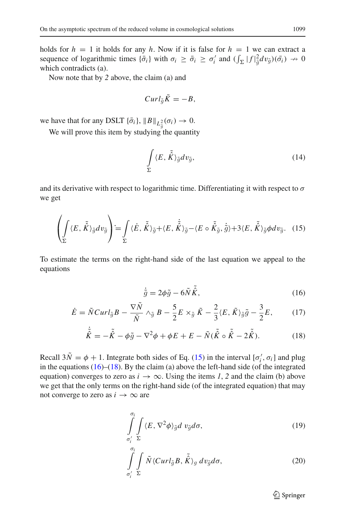holds for  $h = 1$  it holds for any h. Now if it is false for  $h = 1$  we can extract a sequence of logarithmic times  $\{\bar{\sigma}_i\}$  with  $\sigma_i \ge \bar{\sigma}_i \ge \sigma'_i$  and  $(\int_{\Sigma} |f|_{\tilde{g}}^2 dv_{\tilde{g}})(\bar{\sigma}_i) \to 0$ <br>which contradicts (a). which contradicts (a).

Now note that by *2* above, the claim (a) and

$$
Curl_{\tilde{g}}\tilde{K}=-B,
$$

we have that for any DSLT  $\{\bar{\sigma}_i\}$ ,  $||B||_{L^2_{\bar{\sigma}}}(\sigma_i) \to 0$ .

We will prove this item by studying the quantity

$$
\int_{\Sigma} \langle E, \tilde{\hat{K}} \rangle_{\tilde{g}} dv_{\tilde{g}},\tag{14}
$$

and its derivative with respect to logarithmic time. Differentiating it with respect to  $\sigma$ we get

$$
\left(\int_{\Sigma} \langle E, \tilde{\hat{K}} \rangle_{\tilde{g}} dv_{\tilde{g}}\right) = \int_{\Sigma} \langle \dot{E}, \tilde{\hat{K}} \rangle_{\tilde{g}} + \langle E, \dot{\tilde{\hat{K}}} \rangle_{\tilde{g}} - \langle E \circ \tilde{\hat{K}}_{\tilde{g}}, \dot{\tilde{g}} \rangle + 3 \langle E, \tilde{\hat{K}} \rangle_{\tilde{g}} \phi dv_{\tilde{g}}.
$$
 (15)

<span id="page-16-1"></span><span id="page-16-0"></span>To estimate the terms on the right-hand side of the last equation we appeal to the equations

$$
\dot{\tilde{g}} = 2\phi\tilde{g} - 6\tilde{N}\tilde{\hat{K}},\qquad(16)
$$

$$
\dot{E} = \tilde{N}Curl_{\tilde{g}}B - \frac{\nabla \tilde{N}}{\tilde{N}} \wedge_{\tilde{g}} B - \frac{5}{2}E \times_{\tilde{g}} \tilde{K} - \frac{2}{3}\langle E, \tilde{K}\rangle_{\tilde{g}}\tilde{g} - \frac{3}{2}E, \qquad (17)
$$

$$
\dot{\tilde{\hat{K}}} = -\tilde{\hat{K}} - \phi \tilde{g} - \nabla^2 \phi + \phi E + E - \tilde{N} (\tilde{\hat{K}} \circ \tilde{\hat{K}} - 2\tilde{\hat{K}}).
$$
 (18)

Recall  $3\tilde{N} = \phi + 1$ . Integrate both sides of Eq. [\(15\)](#page-16-0) in the interval  $[\sigma'_i, \sigma_i]$  and plug in the equations  $(16)$ – $(18)$ . By the claim (a) above the left-hand side (of the integrated equation) converges to zero as  $i \rightarrow \infty$ . Using the items 1, 2 and the claim (b) above we get that the only terms on the right-hand side (of the integrated equation) that may not converge to zero as  $i \rightarrow \infty$  are

<span id="page-16-2"></span>
$$
\int_{\sigma'_i}^{\sigma_i} \int_{\Sigma} \langle E, \nabla^2 \phi \rangle_{\tilde{g}} d v_{\tilde{g}} d \sigma, \tag{19}
$$

$$
\int_{\sigma'_i}^{\sigma_i} \int_{\Sigma} \tilde{N} \langle Curl_{\tilde{g}} B, \tilde{\hat{K}} \rangle_g \, dv_{\tilde{g}} d\sigma, \tag{20}
$$

<sup>2</sup> Springer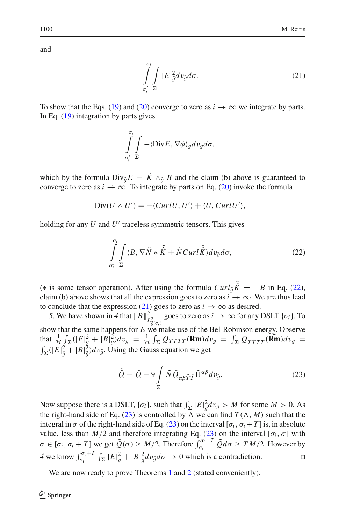<span id="page-17-1"></span>and

$$
\int_{\sigma'_i}^{\sigma_i} \int_{\Sigma} |E|^2_{\tilde{g}} dv_{\tilde{g}} d\sigma. \tag{21}
$$

To show that the Eqs. [\(19\)](#page-16-2) and [\(20\)](#page-16-2) converge to zero as  $i \to \infty$  we integrate by parts. In Eq. [\(19\)](#page-16-2) integration by parts gives

$$
\int\limits_{\sigma'_i}^{\sigma_i}\int\limits_{\Sigma}-\langle\text{Div} E,\nabla\phi\rangle_g dv_{\tilde{g}}d\sigma,
$$

which by the formula  $Div_{\tilde{g}} E = \tilde{K} \wedge_{\tilde{g}} B$  and the claim (b) above is guaranteed to converge to zero as  $i \to \infty$ . To integrate by parts on Eq. [\(20\)](#page-16-2) invoke the formula

$$
Div(U \wedge U') = -\langle CurlU, U' \rangle + \langle U, CurlU' \rangle,
$$

<span id="page-17-0"></span>holding for any *U* and *U'* traceless symmetric tensors. This gives

$$
\int_{\sigma'_i}^{\sigma_i} \int_{\Sigma} \langle B, \nabla \tilde{N} * \tilde{\hat{K}} + \tilde{N} Curl \tilde{\hat{K}} \rangle dv_{\tilde{g}} d\sigma, \tag{22}
$$

(\* is some tensor operation). After using the formula  $Curl_{\tilde{g}}\tilde{\tilde{K}} = -B$  in Eq. [\(22\)](#page-17-0), claim (b) above shows that all the expression goes to zero as  $i \rightarrow \infty$ . We are thus lead claim (b) above shows that all the expression goes to zero as  $i \rightarrow \infty$ . We are thus lead to conclude that the expression [\(21\)](#page-17-1) goes to zero as  $i \rightarrow \infty$  as desired.

*5*. We have shown in *4* that  $\|B\|^2_{L^2_{\tilde{g}(\sigma_i)}}$ goes to zero as  $i \to \infty$  for any DSLT { $\sigma_i$ }. To show that the same happens for  $E$  we make use of the Bel-Robinson energy. Observe that  $\frac{1}{\mathcal{H}} \int_{\Sigma} (|E|_g^2 + |B|_g^2) dv_g = \frac{1}{\mathcal{H}} \int_{\Sigma} Q_{TTTT}(\mathbf{Rm}) dv_g = \int_{\Sigma} Q_{\tilde{T}\tilde{T}\tilde{T}}(\tilde{\mathbf{Rm}}) dv_{\tilde{g}} = \int_{\Sigma} (|E|_g^2 + |B|_g^2) dv_{\tilde{g}}$ . Using the Gauss equation we get  $\int_{\Sigma}^{\Pi} (|E|_{\tilde{g}}^2 + |B|_{\tilde{g}}^2) dv_{\tilde{g}}$ . Using the Gauss equation we get

$$
\dot{\tilde{Q}} = \tilde{Q} - 9 \int_{\Sigma} \tilde{N} \tilde{Q}_{\alpha\beta\tilde{T}\tilde{T}} \tilde{\Pi}^{\alpha\beta} dv_{\tilde{g}}.
$$
\n(23)

<span id="page-17-2"></span>Now suppose there is a DSLT,  $\{\sigma_i\}$ , such that  $\int_{\Sigma} |E|^2 \frac{d}{g} dv_g > M$  for some  $M > 0$ . As<br>the right-hand side of Eq. (23) is controlled by  $\Lambda$  we can find  $T(\Lambda, M)$  such that the the right-hand side of Eq. [\(23\)](#page-17-2) is controlled by  $\Lambda$  we can find  $T(\Lambda, M)$  such that the integral in  $\sigma$  of the right-hand side of Eq. [\(23\)](#page-17-2) on the interval  $[\sigma_i, \sigma_i + T]$  is, in absolute value, less than  $M/2$  and therefore integrating Eq. [\(23\)](#page-17-2) on the interval [ $\sigma_i$ ,  $\sigma$ ] with  $\sigma \in [\sigma_i, \sigma_i + T]$  we get  $\tilde{Q}(\sigma) \ge M/2$ . Therefore  $\int_{\sigma_i}^{\sigma_i + T} \tilde{Q} d\sigma \ge TM/2$ . However by 4 we know  $\int_{\sigma_i}^{\sigma_i+T} \int_{\Sigma} |E|_{\tilde{g}}^2 + |B|_{\tilde{g}}^2 dv_{\tilde{g}} d\sigma \to 0$  which is a contradiction.

We are now ready to prove Theorems [1](#page-4-3) and [2](#page-6-2) (stated conveniently).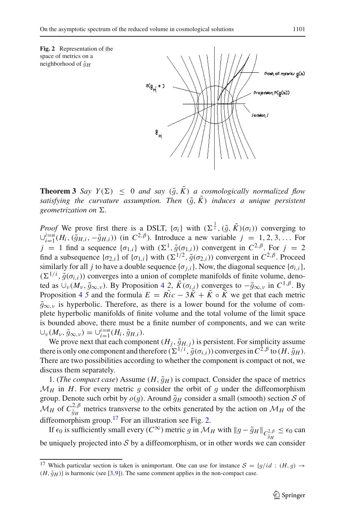<span id="page-18-1"></span>

**Theorem 3** *Say*  $Y(\Sigma) < 0$  *and say*  $(\tilde{q}, \tilde{K})$  *a cosmologically normalized flow satisfying the curvature assumption. Then*  $(\tilde{q}, \tilde{K})$  *induces a unique persistent geometrization on*  $\Sigma$ .

*Proof* We prove first there is a DSLT,  $\{\sigma_i\}$  with  $(\Sigma^{\frac{1}{i}}, (\tilde{g}, \tilde{K})(\sigma_i))$  converging to  $\psi^{i=n}(H_i, (\tilde{g}_{i,i}, -\tilde{g}_{i,i}))$  (in  $C^{2,\beta}$ ) Introduce a new variable  $i = 1, 2, 3$  For  $∪_{i=1}^{i=n}$  *(H<sub>i</sub>*,  $(\tilde{g}_{H,i}, -\tilde{g}_{H,i})$ ) (in *C*<sup>2, β</sup>). Introduce a new variable *j* = 1, 2, 3,... For *j* = 1 find a sequence { $\sigma_{1,i}$ } with  $(\Sigma^1, \tilde{g}(\sigma_{1,i}))$  convergent in  $C^{2,\beta}$ . For *j* = 2 find a subsequence  $\{\sigma_{2,i}\}$  of  $\{\sigma_{1,i}\}$  with  $(\Sigma^{1/2}, \tilde{g}(\sigma_{2,i}))$  convergent in  $C^{2,\beta}$ . Proceed similarly for all *j* to have a double sequence { $\sigma_{i,i}$ }. Now, the diagonal sequence { $\sigma_{i,i}$ },  $(\Sigma^{1/i}, \tilde{g}(\sigma_{i,i}))$  converges into a union of complete manifolds of finite volume, deno-<br>ted as  $\Box (M_i, \tilde{g}_{\text{max}})$ . By Proposition 4.2.  $\tilde{K}(\sigma_i)$  converges to  $-\tilde{g}_{\text{max}}$  in  $C^{1,\beta}$ . By ted as  $\cup_{\nu} (M_{\nu}, \tilde{g}_{\infty,\nu})$ . By Proposition [4](#page-14-0) 2,  $\tilde{K}(\sigma_{i,i})$  converges to  $-\tilde{g}_{\infty,\nu}$  in  $C^{1,\beta}$ . By Proposition [4](#page-14-0).5 and the formula  $E = R\tilde{i}c - 3\tilde{K} + \tilde{K} \circ \tilde{K}$  we get that each metric  $\tilde{g}_{\infty,\nu}$  is hyperbolic. Therefore, as there is a lower bound for the volume of complete hyperbolic manifolds of finite volume and the total volume of the limit space is bounded above, there must be a finite number of components, and we can write  $\bigcup_{\nu} (M_{\nu}, \tilde{g}_{\infty,\nu}) = \bigcup_{i=1}^{i=n} (H_i, \tilde{g}_{H,i}).$ <br>We prove next that each component  $(H_i, \tilde{g}_{H,i})$  is persistent. For simplicity assume

We prove next that each component  $(H_j, \tilde{g}_{H,j})$  is persistent. For simplicity assume<br>there is only one component and therefore  $(\Sigma^{1/i}, \tilde{g}(\sigma_{i,i}))$  converges in  $C^{2,\beta}$  to  $(H, \tilde{g}_H)$ .<br>There are two possibilities accor There are two possibilities according to whether the component is compact ot not, we discuss them separately.

1. (*The compact case*) Assume  $(H, \tilde{g}_H)$  is compact. Consider the space of metrics  $M_H$  in *H*. For every metric *g* consider the orbit of *g* under the diffeomorphism group. Denote such orbit by  $o(g)$ . Around  $\tilde{g}_H$  consider a small (smooth) section *S* of  $M_H$  of  $C_{\tilde{g}_H}^{2,\beta}$  metrics transverse to the orbits generated by the action on  $M_H$  of the diffeomorphism group  $^{17}$  For an illustration see Fig. 2. diffeomorphism group.<sup>[17](#page-18-0)</sup> For an illustration see Fig. [2.](#page-18-1)

If  $\epsilon_0$  is sufficiently small every (*C*<sup>∞</sup>) metric *g* in *M<sub>H</sub>* with  $||g - \tilde{g}_H||_{C^{2,\beta}_{\beta}$ <br>uniquely applicated into *S* by a diffeomorphism on in other words we assume  $\leq \epsilon_0$  can be uniquely projected into *S* by a diffeomorphism, or in other words we can consider

<span id="page-18-0"></span><sup>&</sup>lt;sup>17</sup> Which particular section is taken is unimportant. One can use for instance  $S = \{q/id : (H, q) \rightarrow$  $(H, \tilde{g}_H)$  is harmonic (see [\[3](#page-23-6)[,9](#page-23-7)]). The same comment applies in the non-compact case.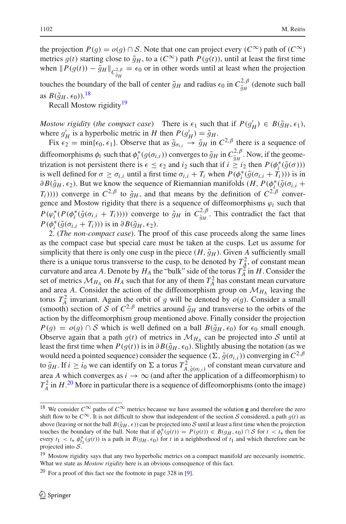the projection  $P(g) = o(g) \cap S$ . Note that one can project every ( $C^{\infty}$ ) path of ( $C^{\infty}$ ) metrics  $g(t)$  starting close to  $\tilde{g}_H$ , to a ( $C^{\infty}$ ) path  $P(g(t))$ , until at least the first time when  $\|P(g(t)) - \tilde{g}_H\|_{C^{2,\beta}_{\tilde{g}_H}}$  $= \epsilon_0$  or in other words until at least when the projection touches the boundary of the ball of center  $\tilde{g}_H$  and radius  $\epsilon_0$  in  $C_{\tilde{g}_H}^{2,\beta}$  (denote such ball  $\epsilon_0$  *B* $(F_{\tilde{g}_H}^{2,\beta} \sim F_{\tilde{g}_H}^{2,\beta})$ as  $B(\tilde{g}_H, \epsilon_0)$ .<sup>[18](#page-19-0)</sup>

Recall Mostow rigidity<sup>19</sup>

*Mostow rigidity* (*the compact case*) There is  $\epsilon_1$  such that if  $P(g'_H) \in B(\tilde{g}_H, \epsilon_1)$ , where  $g'_H$  is a hyperbolic metric in *H* then  $P(g'_H) = \tilde{g}_H$ where  $g'_H$  is a hyperbolic metric in *H* then  $P(g'_H) = \tilde{g}_H$ .<br>Fix  $\epsilon_2 = \min\{\epsilon_0, \epsilon_1\}$  Observe that as  $\tilde{g}_H \to \tilde{g}_H$  in

Fix  $\epsilon_2 = \min\{\epsilon_0, \epsilon_1\}$ . Observe that as  $\tilde{g}_{\sigma_i} \to \tilde{g}_H$  in  $C^{2,\beta}$  there is a sequence of diffeomorphisms  $\phi_i$  such that  $\phi_i^*(g(\sigma_{i,i}))$  converges to  $\tilde{g}_H$  in  $C_{\tilde{g}_H}^{2,\beta}$ . Now, if the geometrization is not persistent there is  $\epsilon \leq \epsilon_2$  and *i*<sub>2</sub> such that if  $i > i_2$  then  $P(\phi^*(\tilde{g}(\sigma)))$ trization is not persistent there is  $\epsilon \leq \epsilon_2$  and  $i_2$  such that if  $i \geq i_2$  then  $P(\phi_i^*(\tilde{g}(\sigma)))$ <br>is well defined for  $\sigma > \sigma_i$ ; until a first time  $\sigma_i : +T_i$ ; when  $P(\phi_i^*(\tilde{g}(\sigma_i; +T_i)))$  is in is well defined for  $\sigma \ge \sigma_{i,i}$  until a first time  $\sigma_{i,i} + T_i$  when  $P(\phi_i^*(\tilde{g}(\sigma_{i,i} + T_i)))$  is in  $\partial R(\tilde{g}_{i,i}, \epsilon)$ . But we know the sequence of Riemannian manifolds  $(H, P(\phi^*(\tilde{g}(\sigma_{i,i} +$  $\partial B(\tilde{g}_H, \epsilon_2)$ . But we know the sequence of Riemannian manifolds  $(H, P(\phi_i^*(\tilde{g}(\sigma_{i,i} + T_i)))$ . converge in  $C^2 \beta$  to  $\tilde{g}_{i,k}$ , and that means by the definition of  $C^2 \beta$  converges *T<sub>i</sub>*)))) converge in  $C^{2,\beta}$  to  $\tilde{g}_H$ , and that means by the definition of  $C^{2,\beta}$  convergence and Mostow rigidity that there is a sequence of diffeomorphisms  $\varphi_i$  such that  $P(\varphi_i^*(P(\phi_i^*(\tilde{g}(\sigma_{i,i} + T_i))))$  converge to  $\tilde{g}_H$  in  $C_{\tilde{g}_H}^{2,\beta}$ . This contradict the fact that  $P(\phi_i^*(\tilde{g}(\sigma_{i,i} + T_i)))$  is in  $\partial R(\tilde{g}_H, \epsilon_0)$ *P*( $\phi_i^*(\tilde{g}(\sigma_{i,i} + T_i)))$  is in  $\partial B(\tilde{g}_H, \epsilon_2)$ .<br>2. (*The non-compact case*). The pr

2. (*The non-compact case*). The proof of this case proceeds along the same lines as the compact case but special care must be taken at the cusps. Let us assume for simplicity that there is only one cusp in the piece  $(H, \tilde{q}_H)$ . Given A sufficiently small there is a unique torus transverse to the cusp, to be denoted by  $T_A^2$ , of constant mean curvature and area *A*. Denote by  $H_A$  the "bulk" side of the torus  $T_A^2$  in *H*. Consider the set of metrics  $\mathcal{M}_{H_A}$  on  $H_A$  such that for any of them  $T_A^2$  has constant mean curvature and area *A*. Consider the action of the diffeomorphism group on  $\mathcal{M}_{H_A}$  leaving the torus  $T_{A}^{2}$  invariant. Again the orbit of q will be denoted by  $o(q)$ . Consider a small  $A_A^2$  invariant. Again the orbit of *g* will be denoted by  $o(g)$ . Consider a small  $\hat{A}$  b section of *S* of  $C^2$ ,  $\hat{\beta}$  metrics around  $\tilde{a}_U$  and transverse to the orbits of the (smooth) section of *S* of  $C^{2,\beta}$  metrics around  $\tilde{g}_H$  and transverse to the orbits of the action by the diffeomorphism group mentioned above. Finally consider the projection action by the diffeomorphism group mentioned above. Finally consider the projection *P*(*g*) = *o*(*g*) ∩ *S* which is well defined on a ball *B*( $\tilde{q}_H$ ,  $\epsilon_0$ ) for  $\epsilon_0$  small enough. Observe again that a path  $g(t)$  of metrics in  $\mathcal{M}_{H_A}$  can be projected into *S* until at least the first time when  $P(g(t))$  is in  $\partial B(\tilde{g}_H, \epsilon_0)$ . Slightly abusing the notation (as we would need a pointed sequence) consider the sequence  $(\Sigma, \tilde{g}(\sigma_{i,i}))$  converging in  $C^{2,\beta}$ to  $\tilde{g}_H$ . If  $i \geq i_0$  we can identify on  $\Sigma$  a torus  $T^2_{A, \tilde{g}(\sigma_{i,i})}$  of constant mean curvature and area 4 which converges as  $i \to \infty$  (and after the application of a diffeomorphism) to area *A* which converges as  $i \rightarrow \infty$  (and after the application of a diffeomorphism) to  $T_A^2$  in *H*.<sup>[20](#page-19-2)</sup> More in particular there is a sequence of diffeomorphisms (onto the image)

<span id="page-19-0"></span><sup>&</sup>lt;sup>18</sup> We consider  $C^{\infty}$  paths of  $C^{\infty}$  metrics because we have assumed the solution **g** and therefore the zero shift flow to be  $C^{\infty}$ . It is not difficult to show that independent of the section *S* considered, a path  $q(t)$  as above (leaving or not the ball  $B(\tilde{g}_H, \epsilon)$ ) can be projected into *S* until at least a first time when the projection touches the boundary of the ball. Note that if  $\phi_t^*(g(t)) = P(g(t)) \in B(g_H, \epsilon_0) \cap S$  for  $t < t_*$  then for every  $t_1 < t_*$  of  $h^*(g(t))$  is a path in  $B(g_H, \epsilon_0)$  for *t* in a peripherhood of  $t_*$  and which therefore can be every  $t_1 < t_* \phi_{t_1}^*(g(t))$  is a path in  $B(g_H, \epsilon_0)$  for *t* in a neighborhood of  $t_1$  and which therefore can be projected into S projected into *S*.

<sup>&</sup>lt;sup>19</sup> Mostow rigidity says that any two hyperbolic metrics on a compact manifold are necesarily isometric. What we state as *Mostow rigidity* here is an obvious consequence of this fact.

<span id="page-19-2"></span><span id="page-19-1"></span> $20$  For a proof of this fact see the footnote in page 328 in [\[9](#page-23-7)].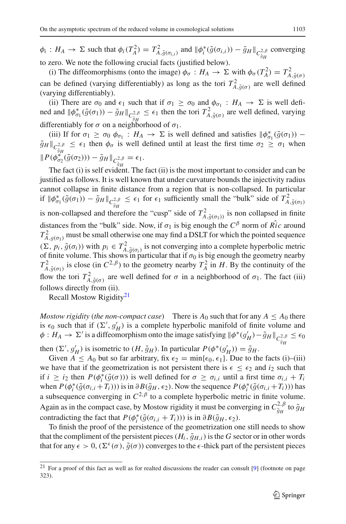$\phi_i : H_A \to \Sigma$  such that  $\phi_i(T_A^2) = T_{A, \tilde{g}(\sigma_{i,i})}^2$  and  $\|\phi_i^*(\tilde{g}(\sigma_{i,i})) - \tilde{g}_H\|_{C_{\tilde{g}_H}^{2,\beta}}$ <br>to zero. We note the following crucial facts (justified below) converging to zero. We note the following crucial facts (justified below).

(i) The diffeomorphisms (onto the image)  $\phi_{\sigma} : H_A \to \Sigma$  with  $\phi_{\sigma}(T_A^2) = T_A^2$ (*A*) The direction operation (varying differentiably) as long as the tori  $T_{A,\tilde{g}(\sigma)}^2$  are well defined (varying differentiably). (varying differentiably).

(ii) There are  $\sigma_0$  and  $\epsilon_1$  such that if  $\sigma_1 \ge \sigma_0$  and  $\phi_{\sigma_1} : H_A \to \Sigma$  is well defined and  $\|\phi_{\sigma_1}^*(\tilde{g}(\sigma_1)) - \tilde{g}_H\|_{C^{2,\beta}_{\tilde{g}_H}}$ <br>differentiably for  $\sigma$  on a naighborh  $\leq \epsilon_1$  then the tori  $T_{A,\tilde{g}(\sigma)}^2$  are well defined, varying differentiably for  $\sigma$  on a neighborhood of  $\sigma_1$ .

(iii) If for  $\sigma_1 \ge \sigma_0$   $\phi_{\sigma_1}$ :  $H_A \to \Sigma$  is well defined and satisfies  $\|\phi_{\sigma_1}^*(\tilde{g}(\sigma_1)) - \psi_{\sigma_1}\|_{\mathcal{L}^p} \le \epsilon_1$  then  $\phi_{\sigma_1}$  is well defined until at least the first time  $\sigma_2 > \sigma_1$  when  $\tilde{g}_H \Vert_{C^{2,\beta}_{\tilde{g}_H}} \leq \epsilon_1$  then  $\phi_\sigma$  is well defined until at least the first time  $\sigma_2 \geq \sigma_1$  when  $\|P(\phi_{\sigma_2}^{*_{\bar{g}_H}}(\tilde{g}(\sigma_2))) - \tilde{g}_H\|_{C^{2,\beta}_{\bar{g}_H}} = \epsilon_1.$ 

The fact (i) is self evident. The fact (ii) is the most important to consider and can be justified as follows. It is well known that under curvature bounds the injectivity radius cannot collapse in finite distance from a region that is non-collapsed. In particular if  $\|\phi_{\sigma_1}^*(\tilde{g}(\sigma_1)) - \tilde{g}_H\|_{C_{\tilde{g}_H}^{2,\beta}} \leq \epsilon_1$  for  $\epsilon_1$  sufficiently small the "bulk" side of  $T_{A,\tilde{g}(\sigma_1)}^2$ is non-collapsed and therefore the "cusp" side of  $T_{A,\tilde{g}(\sigma_1)}^2$  is non collapsed in finite<br>distances from the "bulls" side. Now if  $g$  is his appeal the  $G_B^B$  norm of  $\hat{P}$  is appeal distances from the "bulk" side. Now, if  $\sigma_1$  is big enough the  $C^{\beta}$  norm of  $\hat{Ric}$  around  $T_{A,g(\sigma_1)}^2$  must be small otherwise one may find a DSLT for which the pointed sequence  $(\sum_{n} n \tilde{\rho}(\sigma_1))$  with  $n \in T^2$  is not converging into a complete hyperbolic matrice  $(\Sigma, p_i, \tilde{g}(\sigma_i))$  with  $p_i \in T^2_{A, \tilde{g}(\sigma_i)}$  is not converging into a complete hyperbolic metric of finite volume. This shows in particular that if  $\sigma_0$  is big enough the geometry nearby  $T_{A,\tilde{g}(\sigma_1)}^2$  is close (in  $C^{2,\beta}$ ) to the geometry nearby  $T_A^2$  in *H*. By the continuity of the flow the tori  $T^2$  are used defined for  $\sigma$  in a point here defined of  $\sigma$ . The feat (iii) flow the tori  $T_{A,\tilde{g}(\sigma)}^2$  are well defined for  $\sigma$  in a neighborhood of  $\sigma_1$ . The fact (iii) follows directly from (ii) follows directly from (ii).

Recall Mostow Rigidity<sup>21</sup>

*Mostow rigidity* (*the non-compact case*) There is  $A_0$  such that for any  $A \leq A_0$  there is  $\epsilon_0$  such that if  $(\Sigma', g'_H)$  is a complete hyperbolic manifold of finite volume and  $\phi : H_{\lambda} \to \Sigma'$  is a diffeomorphism onto the image satisfying  $\|\phi^*(g') - \tilde{g}_H\|_{\lambda}$  as  $\leq \epsilon_0$  $\phi: H_A \to \Sigma'$  is a diffeomorphism onto the image satisfying  $\|\phi^*(g_H') - \tilde{g}_H\|_{C_{\tilde{g}_H}^{2,\beta}}$  $\leq \epsilon_0$ 

then  $(\Sigma', g'_H)$  is isometric to  $(H, \tilde{g}_H)$ . In particular  $P(\phi^*(g'_H)) = \tilde{g}_H$ .<br>Given  $A \le A_0$  but so far arbitrary fix  $\epsilon_2 = \min\{\epsilon_0, \epsilon_1\}$ . Due to the

Given  $A \leq A_0$  but so far arbitrary, fix  $\epsilon_2 = \min{\{\epsilon_0, \epsilon_1\}}$ . Due to the facts (i)–(iii) we have that if the geometrization is not persistent there is  $\epsilon \leq \epsilon_2$  and  $i_2$  such that if  $i \ge i_2$  then  $P(\phi_i^*(\tilde{g}(\sigma)))$  is well defined for  $\sigma \ge \sigma_{i,i}$  until a first time  $\sigma_{i,i} + T_i$ <br>when  $P(\phi^*(\tilde{g}(\sigma \cdot + T_i)))$  is in  $\partial R(\tilde{g}_{i}(\sigma \cdot \sigma))$ . Now the sequence  $P(\phi^*(\tilde{g}(\sigma \cdot + T_i)))$  has when  $P(\phi_i^*(\tilde{g}(\sigma_{i,i} + T_i)))$  is in  $\partial B(\tilde{g}_H, \epsilon_2)$ . Now the sequence  $P(\phi_i^*(\tilde{g}(\sigma_{i,i} + T_i)))$  has a subsequence converging in  $C^{2,\beta}$  to a complete hyperbolic metric in finite volume. Again as in the compact case, by Mostow rigidity it must be converging in  $C_{\tilde{g}_H}^{2,\beta}$  to  $\tilde{g}_H$ <br>contradicting the fact that  $P(A^*(\tilde{g}(\alpha, \cdot + T)))$  is in  $\partial R(\tilde{g}_H, \epsilon_0)$ contradicting the fact that  $P(\phi_i^*(\tilde{g}(\sigma_{i,i} + T_i)))$  is in  $\partial B(\tilde{g}_H, \epsilon_2)$ .<br>To finish the proof of the persistence of the geometrization of

To finish the proof of the persistence of the geometrization one still needs to show that the compliment of the persistent pieces  $(H_i, \tilde{g}_{H,i})$  is the *G* sector or in other words that for any  $\epsilon > 0$ ,  $(\Sigma^{\epsilon}(\sigma), \tilde{g}(\sigma))$  converges to the  $\epsilon$ -thick part of the persistent pieces

<span id="page-20-0"></span> $21$  For a proof of this fact as well as for realted discussions the reader can consult [\[9\]](#page-23-7) (footnote on page 323).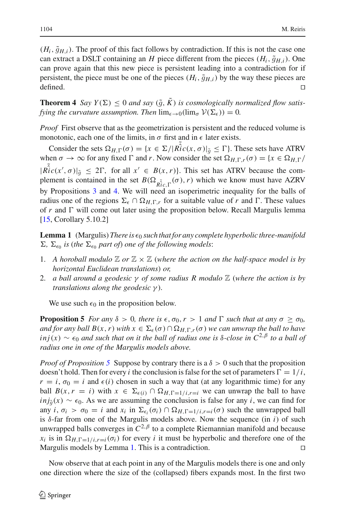$(H_i, \tilde{g}_{H,i})$ . The proof of this fact follows by contradiction. If this is not the case one can extract a DSLT containing an *H* piece different from the pieces  $(H_i, \tilde{g}_{H,i})$ . One can prove again that this new piece is persistent leading into a contradiction for if persistent, the piece must be one of the pieces  $(H_i, \tilde{g}_{H,i})$  by the way these pieces are defined. defined.  $\Box$ 

**Theorem 4** *Say*  $Y(\Sigma) \leq 0$  *and say*  $(\tilde{g}, K)$  *is cosmologically normalized flow satisfying the curvature assumption. Then*  $\lim_{\epsilon \to 0} (\lim_{\sigma} V(\Sigma_{\epsilon})) = 0$ .

*Proof* First observe that as the geometrization is persistent and the reduced volume is monotonic, each one of the limits, in  $\sigma$  first and in  $\epsilon$  later exists.

Consider the sets  $\Omega_{H,\Gamma}(\sigma) = \{x \in \Sigma / | \hat{Ric}(x,\sigma)|_{\tilde{q}} \leq \Gamma \}$ . These sets have ATRV when  $\sigma \to \infty$  for any fixed  $\Gamma$  and *r*. Now consider the set  $\Omega_{H,\Gamma,r}(\sigma) = \{x \in \Omega_{H,\Gamma}\}$  $|\tilde{Ric}(x', \sigma)|_{\tilde{g}} \leq 2\Gamma$ , for all  $x' \in B(x, r)$ . This set has ATRV because the com-<br>plement is contained in the set  $B(Q, \sigma(x), r)$  which we know must have AZRV plement is contained in the set  $B(\Omega_{\tilde{R}_{ir}^{\tilde{c}}},(\sigma),r)$  which we know must have AZRV by Propositions [3](#page-13-1) and [4.](#page-14-0) We will need an isoperimetric inequality for the balls of radius one of the regions  $\Sigma_{\epsilon} \cap \Omega_{H,\Gamma,r}$  for a suitable value of *r* and  $\Gamma$ . These values of  $r$  and  $\Gamma$  will come out later using the proposition below. Recall Margulis lemma [\[15](#page-23-12), Corollary 5.10.2]

<span id="page-21-1"></span>**Lemma 1** (Margulis) *There is*  $\epsilon_0$  *such that for any complete hyperbolic three-manifold*  $\Sigma$ ,  $\Sigma_{\epsilon_0}$  *is (the*  $\Sigma_{\epsilon_0}$  *part of) one of the following models:* 

- 1. A horoball modulo  $\mathbb{Z}$  or  $\mathbb{Z} \times \mathbb{Z}$  (where the action on the half-space model is by *horizontal Euclidean translations*) *or,*
- 2. *a ball around a geodesic* γ *of some radius R modulo* Z (*where the action is by translations along the geodesic* γ )*.*

We use such  $\epsilon_0$  in the proposition below.

<span id="page-21-0"></span>**Proposition 5** *For any*  $\delta > 0$ *, there is*  $\epsilon$ *,*  $\sigma_0$ *,*  $r > 1$  *and*  $\Gamma$  *such that at any*  $\sigma \geq \sigma_0$ *, and for any ball B(x, r) with*  $x \in \Sigma_{\epsilon}(\sigma) \cap \Omega_{H,\Gamma,r}(\sigma)$  *we can unwrap the ball to have*  $i$ *nj*(*x*) ~  $\epsilon_0$  *and such that on it the ball of radius one is* δ-*close in*  $C^{2,\beta}$  *to a ball of radius one in one of the Margulis models above.*

*Proof of Proposition* [5](#page-21-0) Suppose by contrary there is a  $\delta > 0$  such that the proposition doesn't hold. Then for every *i* the conclusion is false for the set of parameters  $\Gamma = 1/i$ ,  $r = i$ ,  $\sigma_0 = i$  and  $\epsilon(i)$  chosen in such a way that (at any logarithmic time) for any ball  $B(x, r = i)$  with  $x \in \Sigma_{\epsilon(i)} \cap \Omega_{H, \Gamma = 1/i, r=i}$  we can unwrap the ball to have *inj*<sub> $g(x)$ </sub> ∼  $\epsilon_0$ . As we are assuming the conclusion is false for any *i*, we can find for any  $i, \sigma_i > \sigma_0 = i$  and  $x_i$  in  $\Sigma_{\epsilon_i}(\sigma_i) \cap \Omega_{H,\Gamma=1/i,r=i}(\sigma)$  such the unwrapped ball is δ-far from one of the Margulis models above. Now the sequence (in *i*) of such unwrapped balls converges in  $C^{2,\beta}$  to a complete Riemannian manifold and because  $x_i$  is in  $\Omega_{H,\Gamma=1/i,r=i}(\sigma_i)$  for every *i* it must be hyperbolic and therefore one of the Margulis models by Lemma [1.](#page-21-1) This is a contradiction.

Now observe that at each point in any of the Margulis models there is one and only one direction where the size of the (collapsed) fibers expands most. In the first two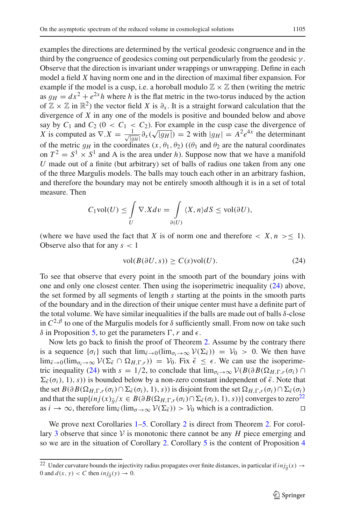examples the directions are determined by the vertical geodesic congruence and in the third by the congruence of geodesics coming out perpendicularly from the geodesic  $\gamma$ . Observe that the direction is invariant under wrappings or unwrapping. Define in each model a field *X* having norm one and in the direction of maximal fiber expansion. For example if the model is a cusp, i.e. a horoball modulo  $\mathbb{Z} \times \mathbb{Z}$  then (writing the metric as  $q_H = dx^2 + e^{2x}h$  where h is the flat metric in the two-torus induced by the action of  $\mathbb{Z} \times \mathbb{Z}$  in  $\mathbb{R}^2$ ) the vector field *X* is  $\partial_x$ . It is a straight forward calculation that the divergence of *X* in any one of the models is positive and bounded below and above say by  $C_1$  and  $C_2$  ( $0 < C_1 < C_2$ ). For example in the cusp case the divergence of *X* is computed as  $\nabla \cdot X = \frac{1}{\sqrt{a}}$  $\frac{1}{|g_H|} \frac{\partial}{\partial x} (\sqrt{|g_H|}) = 2$  with  $|g_H| = A^2 e^{4x}$  the determinant<br>linates  $(x, \theta_1, \theta_2)$  (( $\theta_1$  and  $\theta_2$  are the natural coordinates of the metric  $g_H$  in the coordinates  $(x, \theta_1, \theta_2)$  ( $(\theta_1$  and  $\theta_2$  are the natural coordinates on  $T^2 = S^1 \times S^1$  and A is the area under *h*). Suppose now that we have a manifold *U* made out of a finite (but arbitrary) set of balls of radius one taken from any one of the three Margulis models. The balls may touch each other in an arbitrary fashion, and therefore the boundary may not be entirely smooth although it is in a set of total measure. Then

$$
C_1 \text{vol}(U) \le \int\limits_U \nabla .X dv = \int\limits_{\partial(U)} \langle X, n \rangle dS \le \text{vol}(\partial U),
$$

(where we have used the fact that *X* is of norm one and therefore  $\langle X, n \rangle \leq 1$ ). Observe also that for any *s* < 1

$$
vol(B(\partial U, s)) \ge C(s) vol(U). \tag{24}
$$

<span id="page-22-0"></span>To see that observe that every point in the smooth part of the boundary joins with one and only one closest center. Then using the isoperimetric inequality (24) above, the set formed by all segments of length *s* starting at the points in the smooth parts of the boundary and in the direction of their unique center must have a definite part of the total volume. We have similar inequalities if the balls are made out of balls  $\delta$ -close in  $C^{2,\beta}$  to one of the Margulis models for  $\delta$  sufficiently small. From now on take such  $δ$  in Proposition [5,](#page-21-0) to get the parameters Γ, *r* and  $ε$ .

Now lets go back to finish the proof of Theorem [2.](#page-6-2) Assume by the contrary there is a sequence  $\{\sigma_i\}$  such that  $\lim_{\bar{\epsilon}\to 0}(\lim_{\sigma_i\to\infty} \mathcal{V}(\Sigma_{\bar{\epsilon}})) = \mathcal{V}_0 > 0$ . We then have  $\lim_{\bar{\epsilon}\to 0}(\lim_{\sigma_i\to\infty}\mathcal{V}(\Sigma_{\bar{\epsilon}}\cap\Omega_{H,\Gamma,r})) = \mathcal{V}_0$ . Fix  $\bar{\epsilon} \leq \epsilon$ . We can use the isoperime-tric inequality [\(24\)](#page-22-0) with  $s = 1/2$ , to conclude that  $\lim_{\sigma_i \to \infty} \mathcal{V}(B(\partial B(\Omega_{H,\Gamma,r}(\sigma_i)) \cap$  $\Sigma_{\bar{\epsilon}}(\sigma_i), 1), s$ ) is bounded below by a non-zero constant independent of  $\bar{\epsilon}$ . Note that the set  $B(\partial B(\Omega_{H,\Gamma,r}(\sigma_i) \cap \Sigma_{\epsilon}(\sigma_i), 1), s)$  is disjoint from the set  $\Omega_{H,\Gamma,r}(\sigma_i) \cap \Sigma_{\epsilon}(\sigma_i)$ and that the sup{ $i n j(x)_{\tilde{g}}/x \in B(\partial B(\Omega_{H,\Gamma,r}(\sigma_i) \cap \Sigma_{\tilde{\epsilon}}(\sigma_i), 1), s))$ } converges to zero<sup>22</sup> as  $i \to \infty$ , therefore  $\lim_{\tilde{\epsilon}} (\lim_{\alpha \to \infty} \mathcal{V}(\Sigma_{\tilde{\epsilon}})) > \mathcal{V}_0$  which is a contradiction. as *i*  $\rightarrow \infty$ , therefore  $\lim_{\bar{\epsilon}} (\lim_{\sigma \to \infty} \mathcal{V}(\Sigma_{\bar{\epsilon}})) > \mathcal{V}_0$  which is a contradiction.

We prove next Corollaries  $1-5$ . Corollary [2](#page-7-5) is direct from Theorem [2.](#page-6-2) For corol-lary [3](#page-7-2) observe that since  $V$  is monotonic there cannot be any  $H$  piece emerging and so we are in the situation of Corollary [2.](#page-7-5) Corollary [5](#page-7-4) is the content of Proposition [4](#page-14-0)

<span id="page-22-1"></span><sup>&</sup>lt;sup>22</sup> Under curvature bounds the injectivity radius propagates over finite distances, in particular if  $i n j_{\tilde{g}}(x) \rightarrow 0$  and  $d(x, y) < C$  then  $i n j_{\tilde{g}}(y) \rightarrow 0$ 0 and  $d(x, y) < C$  then  $\text{inj}_{\tilde{g}}(y) \to 0$ .